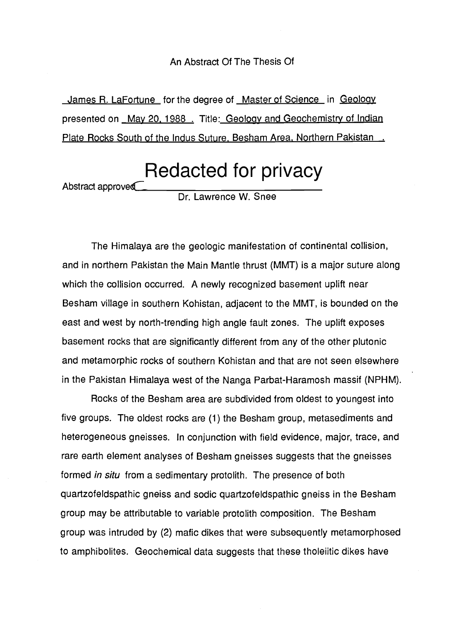#### An Abstract Of The Thesis Of

James R. La Fortune for the degree of Master of Science in Geology presented on May 20, 1988. Title: Geology and Geochemistry of Indian Plate Rocks South of the Indus Suture, Besham Area, Northern Pakistan.

Redacted for privacy

Abstract approved

Dr. Lawrence W. Snee

The Himalaya are the geologic manifestation of continental collision, and in northern Pakistan the Main Mantle thrust (MMT) is a major suture along which the collision occurred. A newly recognized basement uplift near Besham village in southern Kohistan, adjacent to the MMT, is bounded on the east and west by north-trending high angle fault zones. The uplift exposes basement rocks that are significantly different from any of the other plutonic and metamorphic rocks of southern Kohistan and that are not seen elsewhere in the Pakistan Himalaya west of the Nanga Parbat-Haramosh massif (NPHM).

Rocks of the Besham area are subdivided from oldest to youngest into five groups. The oldest rocks are (1) the Besham group, metasediments and heterogeneous gneisses. In conjunction with field evidence, major, trace, and rare earth element analyses of Besham gneisses suggests that the gneisses formed in situ from a sedimentary protolith. The presence of both quartzofeldspathic gneiss and sodic quartzofeldspathic gneiss in the Besham group may be attributable to variable protolith composition. The Besham group was intruded by (2) mafic dikes that were subsequently metamorphosed to amphibolites. Geochemical data suggests that these tholeiitic dikes have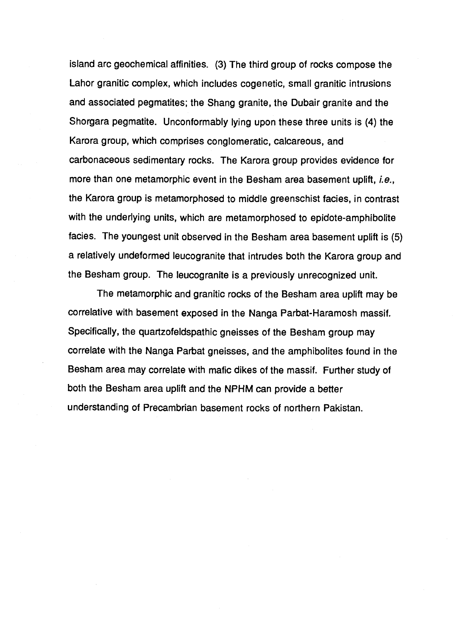island arc geochemical affinities. (3) The third group of rocks compose the Lahor granitic complex, which includes cogenetic, small granitic intrusions and associated pegmatites; the Shang granite, the Dubair granite and the Shorgara pegmatite. Unconformably lying upon these three units is (4) the Karora group, which comprises conglomeratic, calcareous, and carbonaceous sedimentary rocks. The Karora group provides evidence for more than one metamorphic event in the Besham area basement uplift, i.e., the Karora group is metamorphosed to middle greenschist facies, in contrast with the underlying units, which are metamorphosed to epidote-amphibolite facies. The youngest unit observed in the Besham area basement uplift is (5) a relatively undeformed leucogranite that intrudes both the Karora group and the Besham group. The leucogranite is a previously unrecognized unit.

The metamorphic and granitic rocks of the Besham area uplift may be correlative with basement exposed in the Nanga Parbat-Haramosh massif. Specifically, the quartzofeldspathic gneisses of the Besham group may correlate with the Nanga Parbat gneisses, and the amphibolites found in the Besham area may correlate with mafic dikes of the massif. Further study of both the Besham area uplift and the NPHM can provide a better understanding of Precambrian basement rocks of northern Pakistan.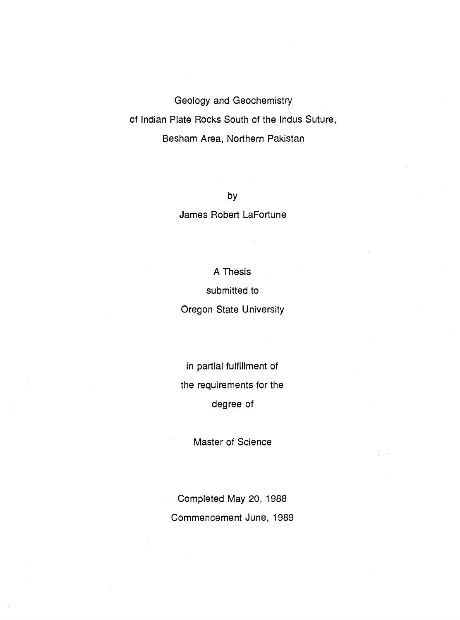Geology and Geochemistry of Indian Plate Rocks South of the Indus Suture, Besham Area, Northern Pakistan

> by James Robert LaFortune

> > A Thesis

submitted to

Oregon State University

in partial fulfillment of the requirements for the degree of

Master of Science

Completed May 20, 1988 Commencement June, 1989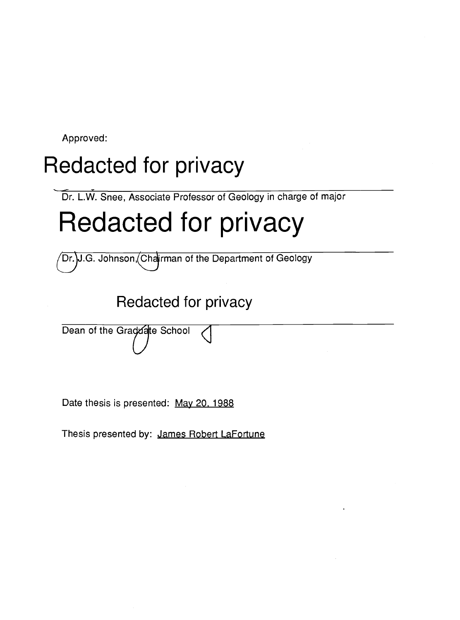Approved:

# Redacted for privacy

Dr. L.W. Snee, Associate Professor of Geology in charge of major

# Redacted for privacy

Dr. J.G. Johnson, Chairman of the Department of Geology

Redacted for privacy

Dean of the Graddate School

Date thesis is presented: May 20, 1988

Thesis presented by: James Robert LaFortune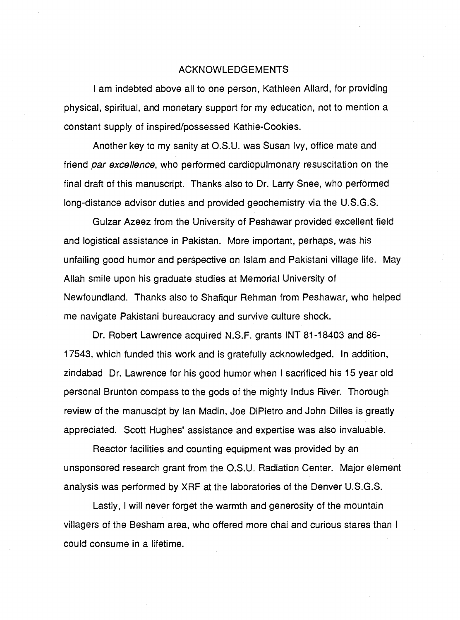#### ACKNOWLEDGEMENTS

I am indebted above all to one person, Kathleen Allard, for providing physical, spiritual, and monetary support for my education, not to mention a constant supply of inspired/possessed Kathie-Cookies.

Another key to my sanity at O.S.U. was Susan Ivy, office mate and friend par excellence, who performed cardiopulmonary resuscitation on the final draft of this manuscript. Thanks also to Dr. Larry Snee, who performed long-distance advisor duties and provided geochemistry via the U.S.G.S.

Gulzar Azeez from the University of Peshawar provided excellent field and logistical assistance in Pakistan. More important, perhaps, was his unfailing good humor and perspective on Islam and Pakistani village life. May Allah smile upon his graduate studies at Memorial University of Newfoundland. Thanks also to Shafiqur Rehman from Peshawar, who helped me navigate Pakistani bureaucracy and survive culture shock.

Dr. Robert Lawrence acquired N.S.F. grants INT 81-18403 and 86- 17543, which funded this work and is gratefully acknowledged. In addition, zindabad Dr. Lawrence for his good humor when I sacrificed his 15 year old personal Brunton compass to the gods of the mighty Indus River. Thorough review of the manuscipt by Ian Madin, Joe DiPietro and John Dilles is greatly appreciated. Scott Hughes' assistance and expertise was also invaluable.

Reactor facilities and counting equipment was provided by an unsponsored research grant from the O.S.U. Radiation Center. Major element analysis was performed by XRF at the laboratories of the Denver U.S.G.S.

Lastly, I will never forget the warmth and generosity of the mountain villagers of the Besham area, who offered more chai and curious stares than I could consume in a lifetime.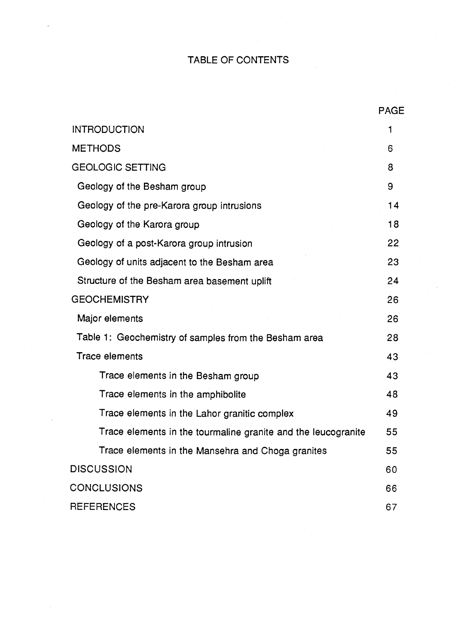## TABLE OF CONTENTS

|                                                               | <b>PAGE</b> |
|---------------------------------------------------------------|-------------|
| <b>INTRODUCTION</b>                                           | 1           |
| <b>METHODS</b>                                                | 6           |
| <b>GEOLOGIC SETTING</b>                                       | 8           |
| Geology of the Besham group                                   | 9           |
| Geology of the pre-Karora group intrusions                    | 14          |
| Geology of the Karora group                                   | 18          |
| Geology of a post-Karora group intrusion                      | 22          |
| Geology of units adjacent to the Besham area                  | 23          |
| Structure of the Besham area basement uplift                  | 24          |
| <b>GEOCHEMISTRY</b>                                           | 26          |
| Major elements                                                | 26          |
| Table 1: Geochemistry of samples from the Besham area         | 28          |
| <b>Trace elements</b>                                         | 43          |
| Trace elements in the Besham group                            | 43          |
| Trace elements in the amphibolite                             | 48          |
| Trace elements in the Lahor granitic complex                  | 49          |
| Trace elements in the tourmaline granite and the leucogranite | 55          |
| Trace elements in the Mansehra and Choga granites             | 55          |
| <b>DISCUSSION</b>                                             | 60          |
| <b>CONCLUSIONS</b>                                            | 66          |
| <b>REFERENCES</b>                                             | 67          |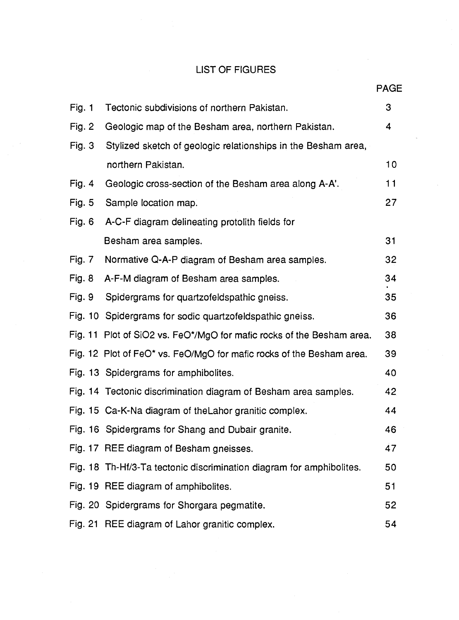### LIST OF FIGURES

|               |                                                                       | PAGE |  |
|---------------|-----------------------------------------------------------------------|------|--|
| Fig. $1$      | Tectonic subdivisions of northern Pakistan.                           | 3    |  |
| Fig. $2$      | Geologic map of the Besham area, northern Pakistan.                   | 4    |  |
| <b>Fig. 3</b> | Stylized sketch of geologic relationships in the Besham area,         |      |  |
|               | northern Pakistan.                                                    | 10   |  |
| Fig. 4        | Geologic cross-section of the Besham area along A-A'.                 | 11   |  |
| <b>Fig. 5</b> | Sample location map.                                                  | 27   |  |
| Fig. 6        | A-C-F diagram delineating protolith fields for                        |      |  |
|               | Besham area samples.                                                  | 31   |  |
| <b>Fig. 7</b> | Normative Q-A-P diagram of Besham area samples.                       | 32   |  |
| <b>Fig. 8</b> | A-F-M diagram of Besham area samples.                                 | 34   |  |
| <b>Fig. 9</b> | Spidergrams for quartzofeldspathic gneiss.                            | 35   |  |
|               | Fig. 10 Spidergrams for sodic quartzofeldspathic gneiss.              | 36   |  |
|               | Fig. 11 Plot of SiO2 vs. FeO*/MgO for mafic rocks of the Besham area. | 38   |  |
|               | Fig. 12 Plot of FeO* vs. FeO/MgO for mafic rocks of the Besham area.  | 39   |  |
|               | Fig. 13 Spidergrams for amphibolites.                                 | 40   |  |
|               | Fig. 14 Tectonic discrimination diagram of Besham area samples.       | 42   |  |
|               | Fig. 15 Ca-K-Na diagram of the Lahor granitic complex.                | 44   |  |
|               | Fig. 16 Spidergrams for Shang and Dubair granite.                     | 46   |  |
|               | Fig. 17 REE diagram of Besham gneisses.                               | 47   |  |
|               | Fig. 18 Th-Hf/3-Ta tectonic discrimination diagram for amphibolites.  | 50   |  |
|               | Fig. 19 REE diagram of amphibolites.                                  | 51   |  |
|               | Fig. 20 Spidergrams for Shorgara pegmatite.                           | 52   |  |
|               | Fig. 21 REE diagram of Lahor granitic complex.                        | 54   |  |

**AGE**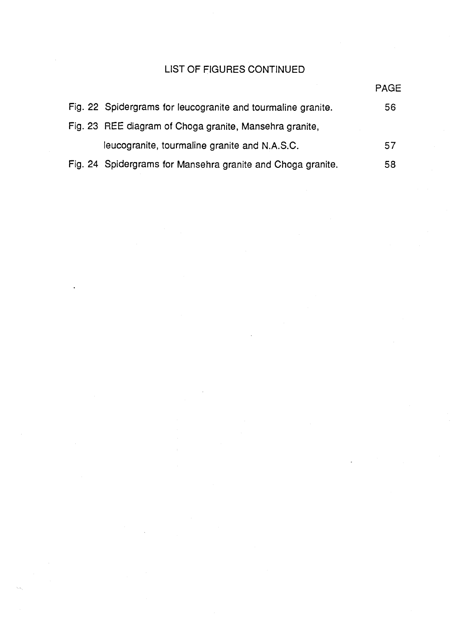# LIST OF FIGURES CONTINUED

|                                                              | <b>PAGE</b> |
|--------------------------------------------------------------|-------------|
| Fig. 22 Spidergrams for leucogranite and tourmaline granite. | 56          |
| Fig. 23 REE diagram of Choga granite, Mansehra granite,      |             |
| leucogranite, tourmaline granite and N.A.S.C.                | 57          |
| Fig. 24 Spidergrams for Mansehra granite and Choga granite.  | 58          |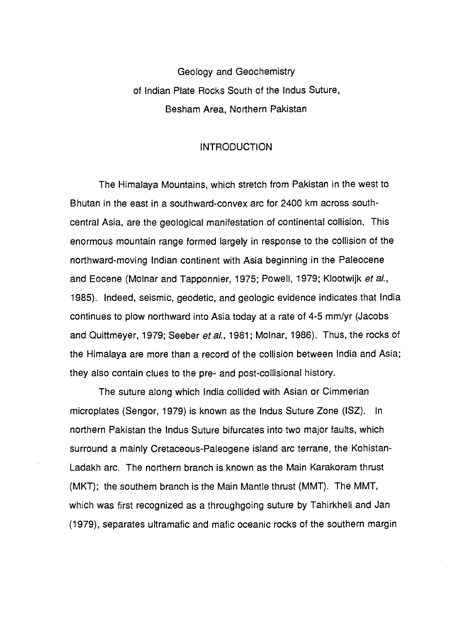Geology and Geochemistry of Indian Plate Rocks South of the Indus Suture, Besham Area, Northern Pakistan

#### INTRODUCTION

The Himalaya Mountains, which stretch from Pakistan in the west to Bhutan in the east in a southward-convex arc for 2400 km across southcentral Asia, are the geological manifestation of continental collision. This enormous mountain range formed largely in response to the collision of the northward-moving Indian continent with Asia beginning in the Paleocene and Eocene (Molnar and Tapponnier, 1975; Powell, 1979; Klootwijk et al., 1985). Indeed, seismic, geodetic, and geologic evidence indicates that India continues to plow northward into Asia today at a rate of 4-5 mm/yr (Jacobs and Quittmeyer, 1979; Seeber et al., 1981; Molnar, 1986). Thus, the rocks of the Himalaya are more than a record of the collision between India and Asia; they also contain clues to the pre- and post-collisional history.

The suture along which India collided with Asian or Cimmerian microplates (Sengor, 1979) is known as the Indus Suture Zone (ISZ). In northern Pakistan the Indus Suture bifurcates into two major faults, which surround a mainly Cretaceous-Paleogene island arc terrane, the Kohistan-Ladakh arc. The northern branch is known as the Main Karakoram thrust (MKT); the southern branch is the Main Mantle thrust (MMT). The MMT, which was first recognized as a throughgoing suture by Tahirkheli and Jan (1979), separates ultramafic and mafic oceanic rocks of the southern margin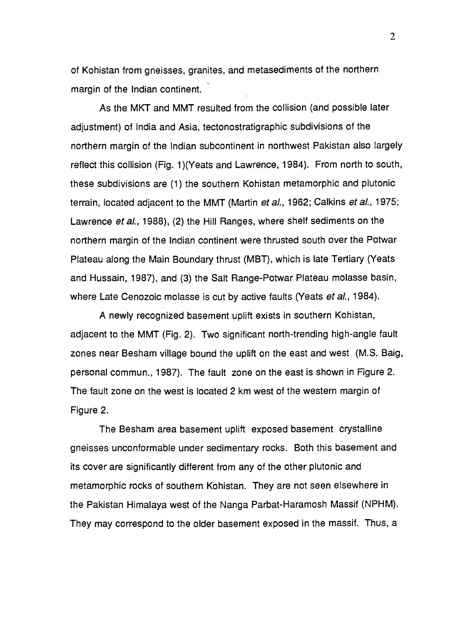of Kohistan from gneisses, granites, and metasediments of the northern margin of the Indian continent.

As the MKT and MMT resulted from the collision (and possible later adjustment) of India and Asia, tectonostratigraphic subdivisions of the northern margin of the Indian subcontinent in northwest Pakistan also largely reflect this collision (Fig. 1)(Yeats and Lawrence, 1984). From north to south, these subdivisions are (1) the southern Kohistan metamorphic and plutonic terrain, located adjacent to the MMT (Martin et al., 1962; Calkins et al., 1975; Lawrence et al., 1988), (2) the Hill Ranges, where shelf sediments on the northern margin of the Indian continent were thrusted south over the Potwar Plateau along the Main Boundary thrust (MBT), which is late Tertiary (Yeats and Hussain, 1987), and (3) the Salt Range-Potwar Plateau molasse basin, where Late Cenozoic molasse is cut by active faults (Yeats et al., 1984).

A newly recognized basement uplift exists in southern Kohistan, adjacent to the MMT (Fig. 2). Two significant north-trending high-angle fault zones near Besham village bound the uplift on the east and west (M.S. Baig, personal commun., 1987). The fault zone on the east is shown in Figure 2. The fault zone on the west is located 2 km west of the western margin of Figure 2.

The Besham area basement uplift exposed basement crystalline gneisses unconformable under sedimentary rocks. Both this basement and its cover are significantly different from any of the other plutonic and metamorphic rocks of southern Kohistan. They are not seen elsewhere in the Pakistan Himalaya west of the Nanga Parbat-Haramosh Massif (NPHM). They may correspond to the older basement exposed in the massif. Thus, a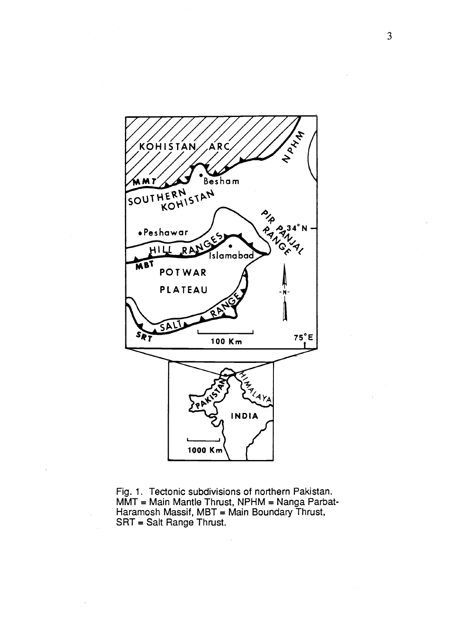

Fig. 1. Tectonic subdivisions of northern Pakistan. MMT = Main Mantle Thrust, NPHM = Nanga Parbat-Haramosh Massif, MBT = Main Boundary Thrust, SRT = Salt Range Thrust.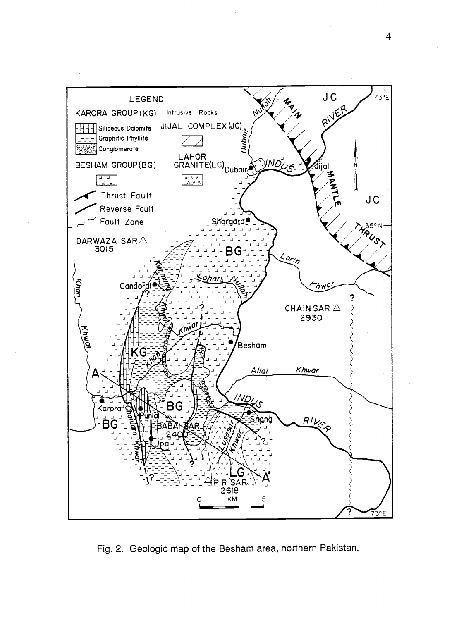

Fig. 2. Geologic map of the Besham area, northern Pakistan.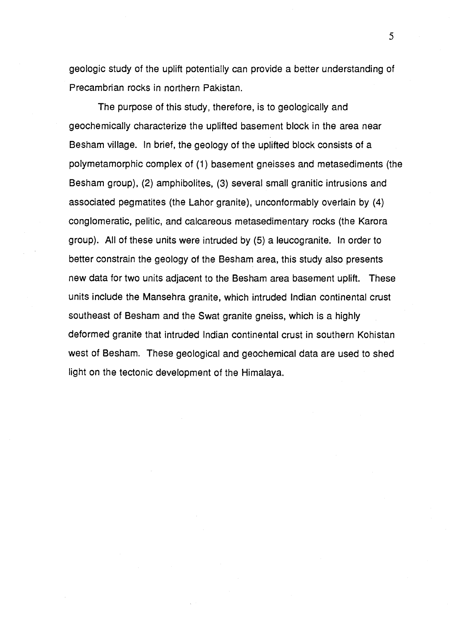geologic study of the uplift potentially can provide a better understanding of Precambrian rocks in northern Pakistan.

The purpose of this study, therefore, is to geologically and geochemically characterize the uplifted basement block in the area near Besham village. In brief, the geology of the uplifted block consists of a polymetamorphic complex of (1) basement gneisses and metasediments (the Besham group), (2) amphibolites, (3) several small granitic intrusions and associated pegmatites (the Lahor granite), unconformably overlain by (4) conglomeratic, pelitic, and calcareous metasedimentary rocks (the Karora group). All of these units were intruded by (5) a leucogranite. In order to better constrain the geology of the Besham area, this study also presents new data for two units adjacent to the Besham area basement uplift. These units include the Mansehra granite, which intruded Indian continental crust southeast of Besham and the Swat granite gneiss, which is a highly deformed granite that intruded Indian continental crust in southern Kohistan west of Besham. These geological and geochemical data are used to shed light on the tectonic development of the Himalaya.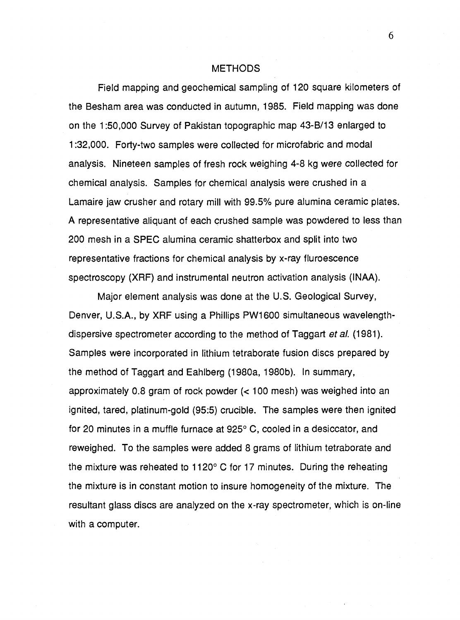#### METHODS

Field mapping and geochemical sampling of 120 square kilometers of the Besham area was conducted in autumn, 1985. Field mapping was done on the 1:50,000 Survey of Pakistan topographic map 43-B/13 enlarged to 1:32,000. Forty-two samples were collected for microfabric and modal analysis. Nineteen samples of fresh rock weighing 4-8 kg were collected for chemical analysis. Samples for chemical analysis were crushed in a Lamaire jaw crusher and rotary mill with 99.5% pure alumina ceramic plates. A representative aliquant of each crushed sample was powdered to less than 200 mesh in a SPEC alumina ceramic shatterbox and split into two representative fractions for chemical analysis by x-ray fluroescence spectroscopy (XRF) and instrumental neutron activation analysis (INAA).

Major element analysis was done at the U.S. Geological Survey, Denver, U.S.A., by XRF using a Phillips PW1600 simultaneous wavelengthdispersive spectrometer according to the method of Taggart *et al.* (1981). Samples were incorporated in lithium tetraborate fusion discs prepared by the method of Taggart and Eahlberg (1980a, 1980b). In summary, approximately 0.8 gram of rock powder (< 100 mesh) was weighed into an ignited, tared, platinum-gold (95:5) crucible. The samples were then ignited for 20 minutes in a muffle furnace at 925° C, cooled in a desiccator, and reweighed. To the samples were added 8 grams of lithium tetraborate and the mixture was reheated to 1120° C for 17 minutes. During the reheating the mixture is in constant motion to insure homogeneity of the mixture. The resultant glass discs are analyzed on the x-ray spectrometer, which is on-line with a computer.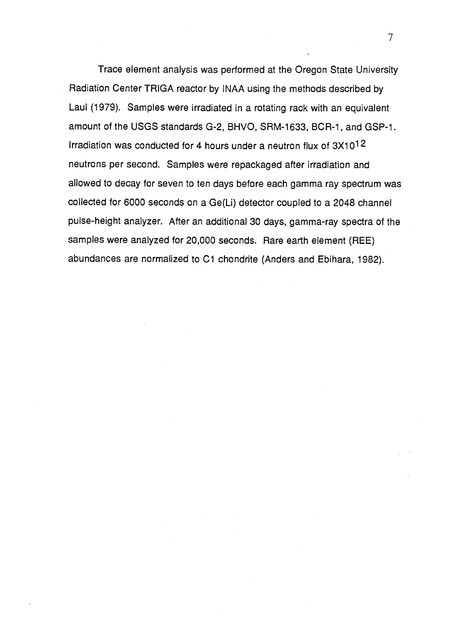Trace element analysis was performed at the Oregon State University Radiation Center TRIGA reactor by INAA using the methods described by Laul (1979). Samples were irradiated in a rotating rack with an equivalent amount of the USGS standards G-2, BHVO, SRM-1633, BCR-1, and GSP-1. Irradiation was conducted for 4 hours under a neutron flux of 3X1012 neutrons per second. Samples were repackaged after irradiation and allowed to decay for seven to ten days before each gamma ray spectrum was collected for 6000 seconds on a Ge(Li) detector coupled to a 2048 channel pulse-height analyzer. After an additional 30 days, gamma-ray spectra of the samples were analyzed for 20,000 seconds. Rare earth element (REE) abundances are normalized to C1 chondrite (Anders and Ebihara, 1982).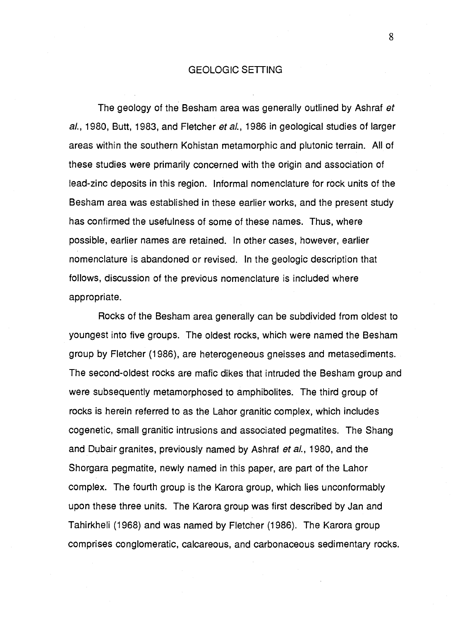#### GEOLOGIC SETTING

The geology of the Besham area was generally outlined by Ashraf et al., 1980, Butt, 1983, and Fletcher et al., 1986 in geological studies of larger areas within the southern Kohistan metamorphic and plutonic terrain. All of these studies were primarily concerned with the origin and association of lead-zinc deposits in this region. Informal nomenclature for rock units of the Besham area was established in these earlier works, and the present study has confirmed the usefulness of some of these names. Thus, where possible, earlier names are retained. In other cases, however, earlier nomenclature is abandoned or revised. In the geologic description that follows, discussion of the previous nomenclature is included where appropriate.

Rocks of the Besham area generally can be subdivided from oldest to youngest into five groups. The oldest rocks, which were named the Besham group by Fletcher (1986), are heterogeneous gneisses and metasediments. The second-oldest rocks are mafic dikes that intruded the Besham group and were subsequently metamorphosed to amphibolites. The third group of rocks is herein referred to as the Lahor granitic complex, which includes cogenetic, small granitic intrusions and associated pegmatites. The Shang and Dubair granites, previously named by Ashraf *et al.*, 1980, and the Shorgara pegmatite, newly named in this paper, are part of the Lahor complex. The fourth group is the Karora group, which lies unconformably upon these three units. The Karora group was first described by Jan and Tahirkheli (1968) and was named by Fletcher (1986). The Karora group comprises conglomeratic, calcareous, and carbonaceous sedimentary rocks.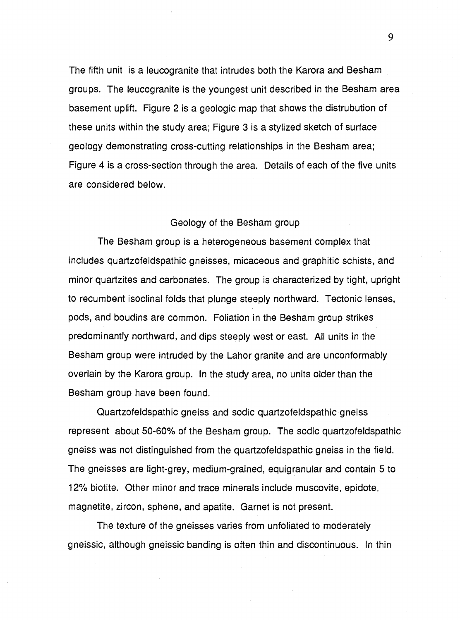The fifth unit is a leucogranite that intrudes both the Karora and Besham groups. The leucogranite is the youngest unit described in the Besham area basement uplift. Figure 2 is a geologic map that shows the distrubution of these units within the study area; Figure 3 is a stylized sketch of surface geology demonstrating cross-cutting relationships in the Besham area; Figure 4 is a cross-section through the area. Details of each of the five units are considered below.

#### Geology of the Besham group

The Besham group is a heterogeneous basement complex that includes quartzofeldspathic gneisses, micaceous and graphitic schists, and minor quartzites and carbonates. The group is characterized by tight, upright to recumbent isoclinal folds that plunge steeply northward. Tectonic lenses, pods, and boudins are common. Foliation in the Besham group strikes predominantly northward, and dips steeply west or east. All units in the Besham group were intruded by the Lahor granite and are unconformably overlain by the Karora group. In the study area, no units older than the Besham group have been found.

Quartzofeldspathic gneiss and sodic quartzofeldspathic gneiss represent about 50-60% of the Besham group. The sodic quartzofeldspathic gneiss was not distinguished from the quartzofeldspathic gneiss in the field. The gneisses are light-grey, medium-grained, equigranular and contain 5 to 12% biotite. Other minor and trace minerals include muscovite, epidote, magnetite, zircon, sphene, and apatite. Garnet is not present.

The texture of the gneisses varies from unfoliated to moderately gneissic, although gneissic banding is often thin and discontinuous. In thin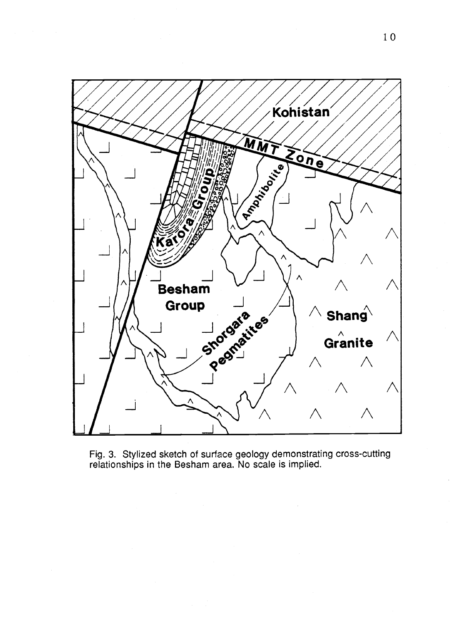

Fig. 3. Stylized sketch of surface geology demonstrating cross-cutting relationships in the Besham area. No scale is implied.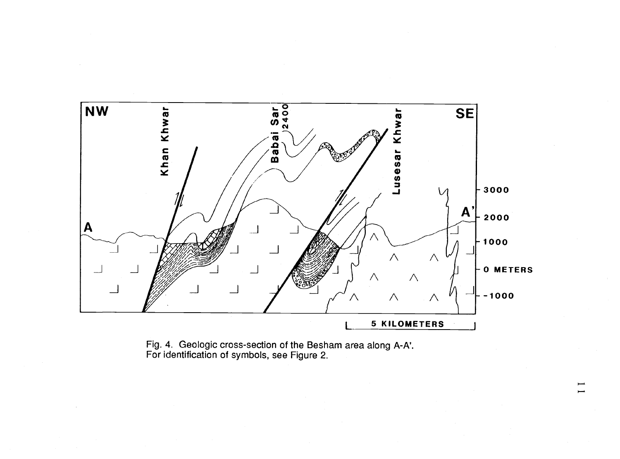

Fig. 4. Geologic cross-section of the Besham area along A-A'. For identification of symbols, see Figure 2.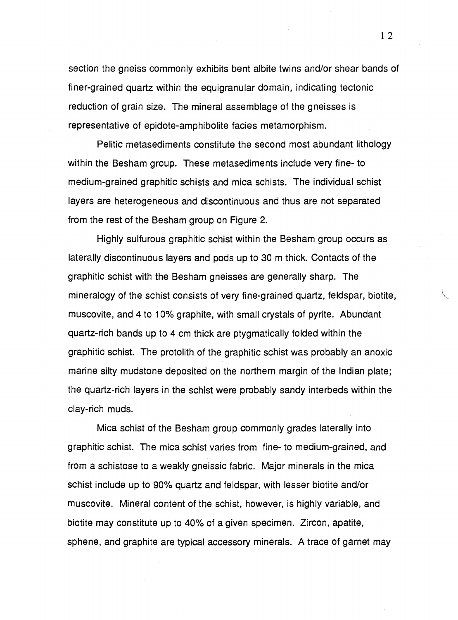section the gneiss commonly exhibits bent albite twins and/or shear bands of finer-grained quartz within the equigranular domain, indicating tectonic reduction of grain size. The mineral assemblage of the gneisses is representative of epidote-amphibolite facies metamorphism.

Pelitic metasediments constitute the second most abundant lithology within the Besham group. These metasediments include very fine- to medium-grained graphitic schists and mica schists. The individual schist layers are heterogeneous and discontinuous and thus are not separated from the rest of the Besham group on Figure 2.

Highly sulfurous graphitic schist within the Besham group occurs as laterally discontinuous layers and pods up to 30 m thick. Contacts of the graphitic schist with the Besham gneisses are generally sharp. The mineralogy of the schist consists of very fine-grained quartz, feldspar, biotite, muscovite, and 4 to 10% graphite, with small crystals of pyrite. Abundant quartz-rich bands up to 4 cm thick are ptygmatically folded within the graphitic schist. The protolith of the graphitic schist was probably an anoxic marine silty mudstone deposited on the northern margin of the Indian plate; the quartz-rich layers in the schist were probably sandy interbeds within the clay-rich muds.

Mica schist of the Besham group commonly grades laterally into graphitic schist. The mica schist varies from fine- to medium-grained, and from a schistose to a weakly gneissic fabric. Major minerals in the mica schist include up to 90% quartz and feldspar, with lesser biotite and/or muscovite. Mineral content of the schist, however, is highly variable, and biotite may constitute up to 40% of a given specimen. Zircon, apatite, sphene, and graphite are typical accessory minerals. A trace of garnet may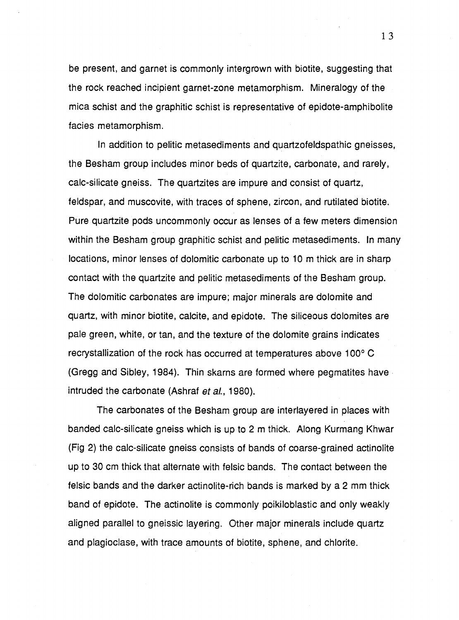be present, and garnet is commonly intergrown with biotite, suggesting that the rock reached incipient garnet-zone metamorphism. Mineralogy of the mica schist and the graphitic schist is representative of epidote-amphibolite facies metamorphism.

In addition to pelitic metasediments and quartzofeldspathic gneisses, the Besham group includes minor beds of quartzite, carbonate, and rarely, calc-silicate gneiss. The quartzites are impure and consist of quartz, feldspar, and muscovite, with traces of sphene, zircon, and rutilated biotite. Pure quartzite pods uncommonly occur as lenses of a few meters dimension within the Besham group graphitic schist and pelitic metasediments. In many locations, minor lenses of dolomitic carbonate up to 10 m thick are in sharp contact with the quartzite and pelitic metasediments of the Besham group. The dolomitic carbonates are impure; major minerals are dolomite and quartz, with minor biotite, calcite, and epidote. The siliceous dolomites are pale green, white, or tan, and the texture of the dolomite grains indicates recrystallization of the rock has occurred at temperatures above 100° C (Gregg and Sibley, 1984). Thin skarns are formed where pegmatites have intruded the carbonate (Ashraf et al., 1980).

The carbonates of the Besham group are interlayered in places with banded calc-silicate gneiss which is up to 2 m thick. Along Kurmang Khwar (Fig 2) the calc-silicate gneiss consists of bands of coarse-grained actinolite up to 30 cm thick that alternate with felsic bands. The contact between the felsic bands and the darker actinolite-rich bands is marked by a 2 mm thick band of epidote. The actinolite is commonly poikiloblastic and only weakly aligned parallel to gneissic layering. Other major minerals include quartz and plagioclase, with trace amounts of biotite, sphene, and chlorite.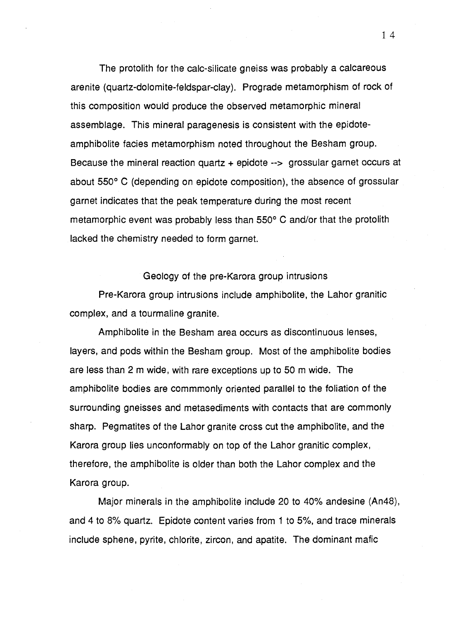The protolith for the calc-silicate gneiss was probably a calcareous arenite (quartz-dolomite-feldspar-clay). Prograde metamorphism of rock of this composition would produce the observed metamorphic mineral assemblage. This mineral paragenesis is consistent with the epidoteamphibolite facies metamorphism noted throughout the Besham group. Because the mineral reaction quartz  $+$  epidote  $-$  grossular garnet occurs at about 550° C (depending on epidote composition), the absence of grossular garnet indicates that the peak temperature during the most recent metamorphic event was probably less than 550° C and/or that the protolith lacked the chemistry needed to form garnet.

Geology of the pre-Karora group intrusions

Pre-Karora group intrusions include amphibolite, the Lahor granitic complex, and a tourmaline granite.

Amphibolite in the Besham area occurs as discontinuous lenses, layers, and pods within the Besham group. Most of the amphibolite bodies are less than 2 m wide, with rare exceptions up to 50 m wide. The amphibolite bodies are commmonly oriented parallel to the foliation of the surrounding gneisses and metasediments with contacts that are commonly sharp. Pegmatites of the Lahor granite cross cut the amphibolite, and the Karora group lies unconformably on top of the Lahor granitic complex, therefore, the amphibolite is older than both the Lahor complex and the Karora group.

Major minerals in the amphibolite include 20 to 40% andesine (An48), and 4 to 8% quartz. Epidote content varies from 1 to 5%, and trace minerals include sphene, pyrite, chlorite, zircon, and apatite. The dominant mafic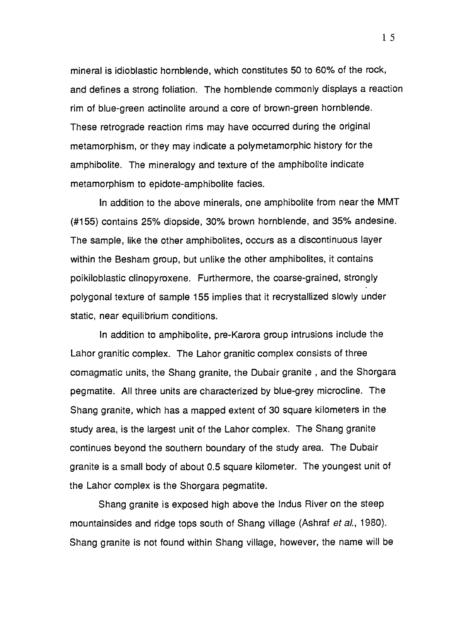mineral is idioblastic hornblende, which constitutes 50 to 60% of the rock, and defines a strong foliation. The hornblende commonly displays a reaction rim of blue-green actinolite around a core of brown-green hornblende. These retrograde reaction rims may have occurred during the original metamorphism, or they may indicate a polymetamorphic history for the amphibolite. The mineralogy and texture of the amphibolite indicate metamorphism to epidote-amphibolite facies.

In addition to the above minerals, one amphibolite from near the MMT (#155) contains 25% diopside, 30% brown hornblende, and 35% andesine. The sample, like the other amphibolites, occurs as a discontinuous layer within the Besham group, but unlike the other amphibolites, it contains poikiloblastic clinopyroxene. Furthermore, the coarse-grained, strongly polygonal texture of sample 155 implies that it recrystallized slowly under static, near equilibrium conditions.

In addition to amphibolite, pre-Karora group intrusions include the Lahor granitic complex. The Lahor granitic complex consists of three comagmatic units, the Shang granite, the Dubair granite , and the Shorgara pegmatite. All three units are characterized by blue-grey microcline. The Shang granite, which has a mapped extent of 30 square kilometers in the study area, is the largest unit of the Lahor complex. The Shang granite continues beyond the southern boundary of the study area. The Dubair granite is a small body of about 0.5 square kilometer. The youngest unit of the Lahor complex is the Shorgara pegmatite.

Shang granite is exposed high above the Indus River on the steep mountainsides and ridge tops south of Shang village (Ashraf et al., 1980). Shang granite is not found within Shang village, however, the name will be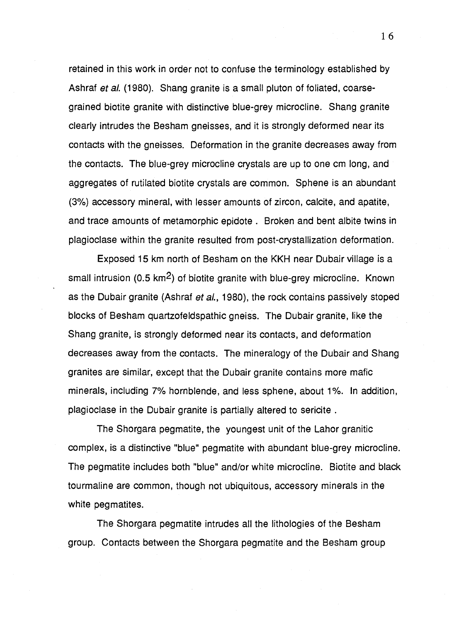retained in this work in order not to confuse the terminology established by Ashraf et al. (1980). Shang granite is a small pluton of foliated, coarsegrained biotite granite with distinctive blue-grey microcline. Shang granite clearly intrudes the Besham gneisses, and it is strongly deformed near its contacts with the gneisses. Deformation in the granite decreases away from the contacts. The blue-grey microcline crystals are up to one cm long, and aggregates of rutilated biotite crystals are common. Sphene is an abundant (3%) accessory mineral, with lesser amounts of zircon, calcite, and apatite, and trace amounts of metamorphic epidote . Broken and bent albite twins in plagioclase within the granite resulted from post-crystallization deformation.

Exposed 15 km north of Besham on the KKH near Dubair village is a small intrusion (0.5 km<sup>2</sup>) of biotite granite with blue-grey microcline. Known as the Dubair granite (Ashraf et al., 1980), the rock contains passively stoped blocks of Besham quartzofeldspathic gneiss. The Dubair granite, like the Shang granite, is strongly deformed near its contacts, and deformation decreases away from the contacts. The mineralogy of the Dubair and Shang granites are similar, except that the Dubair granite contains more mafic minerals, including 7% hornblende, and less sphene, about 1%. In addition, plagioclase in the Dubair granite is partially altered to sericite .

The Shorgara pegmatite, the youngest unit of the Lahor granitic complex, is a distinctive "blue" pegmatite with abundant blue-grey microcline. The pegmatite includes both "blue" and/or white microcline. Biotite and black tourmaline are common, though not ubiquitous, accessory minerals in the white pegmatites.

The Shorgara pegmatite intrudes all the lithologies of the Besham group. Contacts between the Shorgara pegmatite and the Besham group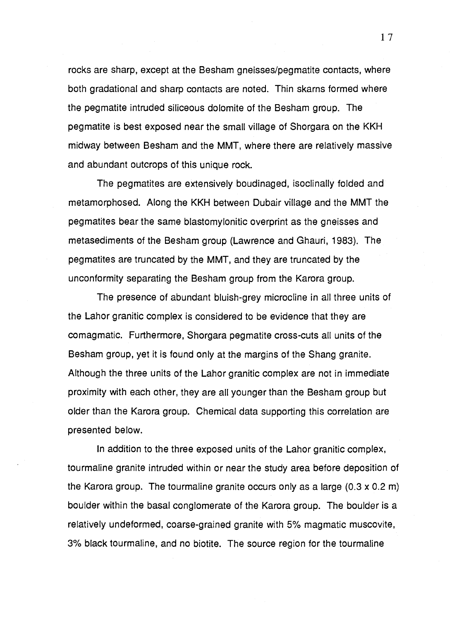rocks are sharp, except at the Besham gneisses/pegmatite contacts, where both gradational and sharp contacts are noted. Thin skarns formed where the pegmatite intruded siliceous dolomite of the Besham group. The pegmatite is best exposed near the small village of Shorgara on the KKH midway between Besham and the MMT, where there are relatively massive and abundant outcrops of this unique rock.

The pegmatites are extensively boudinaged, isoclinally folded and metamorphosed. Along the KKH between Dubair village and the MMT the pegmatites bear the same blastomylonitic overprint as the gneisses and metasediments of the Besham group (Lawrence and Ghauri, 1983). The pegmatites are truncated by the MMT, and they are truncated by the unconformity separating the Besham group from the Karora group.

The presence of abundant bluish-grey microcline in all three units of the Lahor granitic complex is considered to be evidence that they are comagmatic. Furthermore, Shorgara pegmatite cross-cuts all units of the Besham group, yet it is found only at the margins of the Shang granite. Although the three units of the Lahor granitic complex are not in immediate proximity with each other, they are all younger than the Besham group but older than the Karora group. Chemical data supporting this correlation are presented below.

In addition to the three exposed units of the Lahor granitic complex, tourmaline granite intruded within or near the study area before deposition of the Karora group. The tourmaline granite occurs only as a large (0.3 x 0.2 m) boulder within the basal conglomerate of the Karora group. The boulder is a relatively undeformed, coarse-grained granite with 5% magmatic muscovite, 3% black tourmaline, and no biotite. The source region for the tourmaline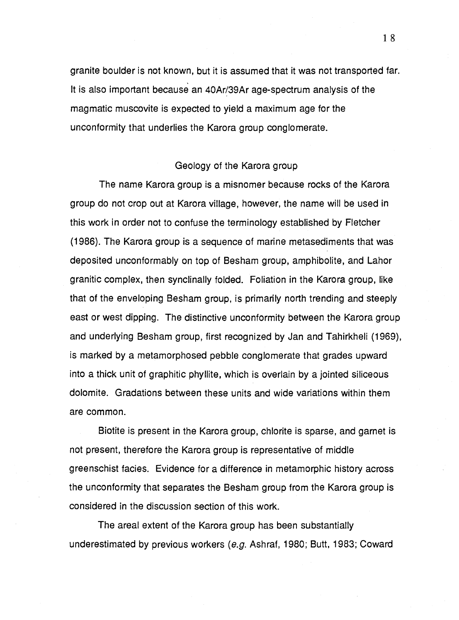granite boulder is not known, but it is assumed that it was not transported far. It is also important because an 40Ar/39Ar age-spectrum analysis of the magmatic muscovite is expected to yield a maximum age for the unconformity that underlies the Karora group conglomerate.

#### Geology of the Karora group

The name Karora group is a misnomer because rocks of the Karora group do not crop out at Karora village, however, the name will be used in this work in order not to confuse the terminology established by Fletcher (1986). The Karora group is a sequence of marine metasediments that was deposited unconformably on top of Besham group, amphibolite, and Lahor granitic complex, then synclinally folded. Foliation in the Karora group, like that of the enveloping Besham group, is primarily north trending and steeply east or west dipping. The distinctive unconformity between the Karora group and underlying Besham group, first recognized by Jan and Tahirkheli (1969), is marked by a metamorphosed pebble conglomerate that grades upward into a thick unit of graphitic phyllite, which is overlain by a jointed siliceous dolomite. Gradations between these units and wide variations within them are common.

Biotite is present in the Karora group, chlorite is sparse, and garnet is not present, therefore the Karora group is representative of middle greenschist facies. Evidence for a difference in metamorphic history across the unconformity that separates the Besham group from the Karora group is considered in the discussion section of this work.

The areal extent of the Karora group has been substantially underestimated by previous workers (e.g. Ashraf, 1980; Butt, 1983; Coward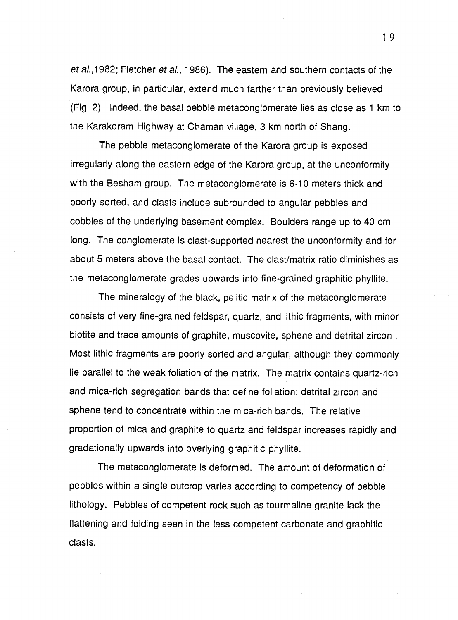et al.,1982; Fletcher et al., 1986). The eastern and southern contacts of the Karora group, in particular, extend much farther than previously believed (Fig. 2). Indeed, the basal pebble metaconglomerate lies as close as 1 km to the Karakoram Highway at Chaman village, 3 km north of Shang.

The pebble metaconglomerate of the Karora group is exposed irregularly along the eastern edge of the Karora group, at the unconformity with the Besham group. The metaconglomerate is 6-10 meters thick and poorly sorted, and clasts include subrounded to angular pebbles and cobbles of the underlying basement complex. Boulders range up to 40 cm long. The conglomerate is clast-supported nearest the unconformity and for about 5 meters above the basal contact. The clast/matrix ratio diminishes as the metaconglomerate grades upwards into fine-grained graphitic phyllite.

The mineralogy of the black, pelitic matrix of the metaconglomerate consists of very fine-grained feldspar, quartz, and lithic fragments, with minor biotite and trace amounts of graphite, muscovite, sphene and detrital zircon . Most lithic fragments are poorly sorted and angular, although they commonly lie parallel to the weak foliation of the matrix. The matrix contains quartz-rich and mica-rich segregation bands that define foliation; detrital zircon and sphene tend to concentrate within the mica-rich bands. The relative proportion of mica and graphite to quartz and feldspar increases rapidly and gradationally upwards into overlying graphitic phyllite.

The metaconglomerate is deformed. The amount of deformation of pebbles within a single outcrop varies according to competency of pebble lithology. Pebbles of competent rock such as tourmaline granite lack the flattening and folding seen in the less competent carbonate and graphitic clasts.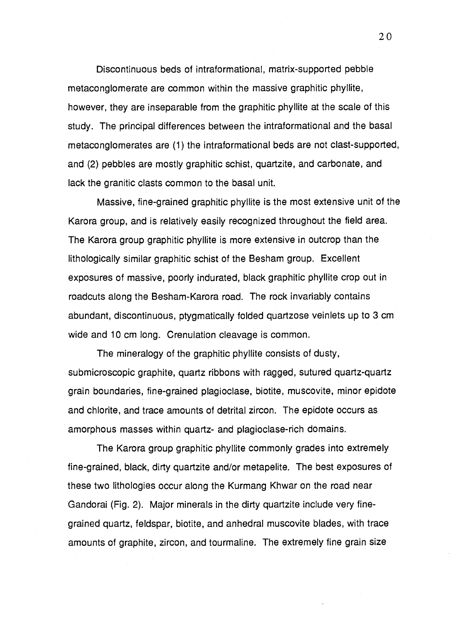Discontinuous beds of intraformational, matrix-supported pebble metaconglomerate are common within the massive graphitic phyllite, however, they are inseparable from the graphitic phyllite at the scale of this study. The principal differences between the intraformational and the basal metaconglomerates are (1) the intraformational beds are not clast-supported, and (2) pebbles are mostly graphitic schist, quartzite, and carbonate, and lack the granitic clasts common to the basal unit.

Massive, fine-grained graphitic phyllite is the most extensive unit of the Karora group, and is relatively easily recognized throughout the field area. The Karora group graphitic phyllite is more extensive in outcrop than the lithologically similar graphitic schist of the Besham group. Excellent exposures of massive, poorly indurated, black graphitic phyllite crop out in roadcuts along the Besham-Karora road. The rock invariably contains abundant, discontinuous, ptygmatically folded quartzose veinlets up to 3 cm wide and 10 cm long. Crenulation cleavage is common.

The mineralogy of the graphitic phyllite consists of dusty, submicroscopic graphite, quartz ribbons with ragged, sutured quartz-quartz grain boundaries, fine-grained plagioclase, biotite, muscovite, minor epidote and chlorite, and trace amounts of detrital zircon. The epidote occurs as amorphous masses within quartz- and plagioclase-rich domains.

The Karora group graphitic phyllite commonly grades into extremely fine-grained, black, dirty quartzite and/or metapelite. The best exposures of these two lithologies occur along the Kurmang Khwar on the road near Gandorai (Fig. 2). Major minerals in the dirty quartzite include very finegrained quartz, feldspar, biotite, and anhedral muscovite blades, with trace amounts of graphite, zircon, and tourmaline. The extremely fine grain size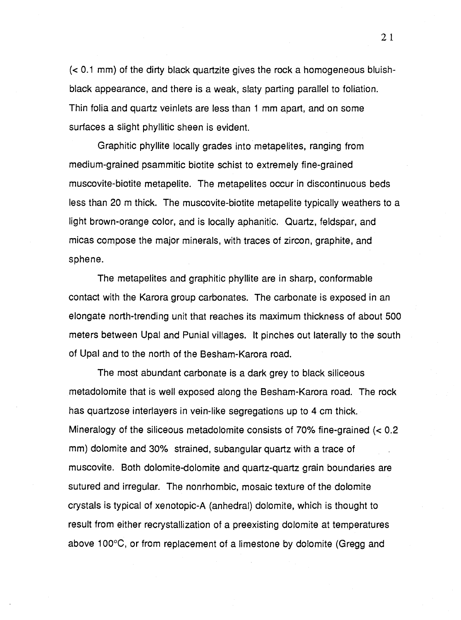(< 0.1 mm) of the dirty black quartzite gives the rock a homogeneous bluishblack appearance, and there is a weak, slaty parting parallel to foliation. Thin folia and quartz veinlets are less than 1 mm apart, and on some surfaces a slight phyllitic sheen is evident.

Graphitic phyllite locally grades into metapelites, ranging from medium-grained psammitic biotite schist to extremely fine-grained muscovite-biotite metapelite. The metapelites occur in discontinuous beds less than 20 m thick. The muscovite-biotite metapelite typically weathers to a light brown-orange color, and is locally aphanitic. Quartz, feldspar, and micas compose the major minerals, with traces of zircon, graphite, and sphene.

The metapelites and graphitic phyllite are in sharp, conformable contact with the Karora group carbonates. The carbonate is exposed in an elongate north-trending unit that reaches its maximum thickness of about 500 meters between Upal and Punial villages. It pinches out laterally to the south of Upal and to the north of the Besham-Karora road.

The most abundant carbonate is a dark grey to black siliceous metadolomite that is well exposed along the Besham-Karora road. The rock has quartzose interlayers in vein-like segregations up to 4 cm thick. Mineralogy of the siliceous metadolomite consists of 70% fine-grained (< 0.2 mm) dolomite and 30% strained, subangular quartz with a trace of muscovite. Both dolomite-dolomite and quartz-quartz grain boundaries are sutured and irregular. The nonrhombic, mosaic texture of the dolomite crystals is typical of xenotopic-A (anhedral) dolomite, which is thought to result from either recrystallization of a preexisting dolomite at temperatures above 100°C, or from replacement of a limestone by dolomite (Gregg and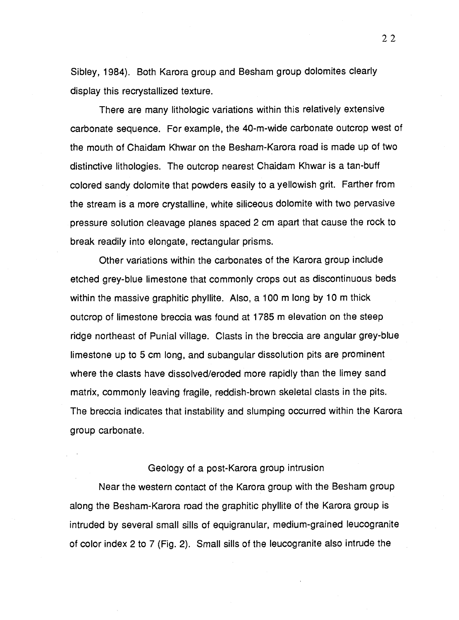Sibley, 1984). Both Karora group and Besham group dolomites clearly display this recrystallized texture.

There are many lithologic variations within this relatively extensive carbonate sequence. For example, the 40-m-wide carbonate outcrop west of the mouth of Chaidam Khwar on the Besham-Karora road is made up of two distinctive lithologies. The outcrop nearest Chaidam Khwar is a tan-buff colored sandy dolomite that powders easily to a yellowish grit. Farther from the stream is a more crystalline, white siliceous dolomite with two pervasive pressure solution cleavage planes spaced 2 cm apart that cause the rock to break readily into elongate, rectangular prisms.

Other variations within the carbonates of the Karora group include etched grey-blue limestone that commonly crops out as discontinuous beds within the massive graphitic phyllite. Also, a 100 m long by 10 m thick outcrop of limestone breccia was found at 1785 m elevation on the steep ridge northeast of Punial village. Clasts in the breccia are angular grey-blue limestone up to 5 cm long, and subangular dissolution pits are prominent where the clasts have dissolved/eroded more rapidly than the limey sand matrix, commonly leaving fragile, reddish-brown skeletal clasts in the pits. The breccia indicates that instability and slumping occurred within the Karora group carbonate.

#### Geology of a post-Karora group intrusion

Near the western contact of the Karora group with the Besham group along the Besham-Karora road the graphitic phyllite of the Karora group is intruded by several small sills of equigranular, medium-grained leucogranite of color index 2 to 7 (Fig. 2). Small sills of the leucogranite also intrude the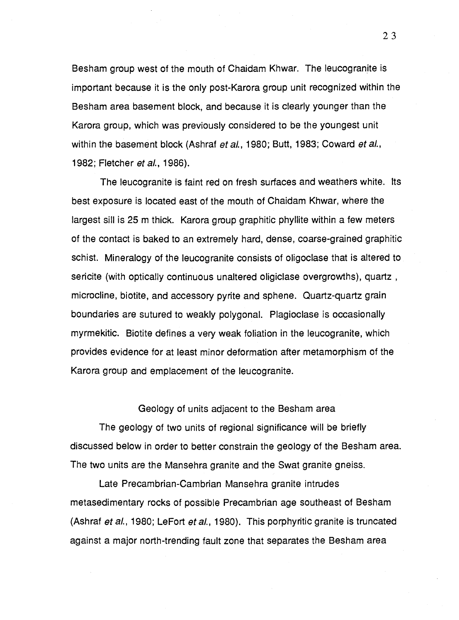Besham group west of the mouth of Chaidam Khwar. The leucogranite is important because it is the only post-Karora group unit recognized within the Besham area basement block, and because it is clearly younger than the Karora group, which was previously considered to be the youngest unit within the basement block (Ashraf et al., 1980; Butt, 1983; Coward et al., 1982; Fletcher *et al.*, 1986).

The leucogranite is faint red on fresh surfaces and weathers white. Its best exposure is located east of the mouth of Chaidam Khwar, where the largest sill is 25 m thick. Karora group graphitic phyllite within a few meters of the contact is baked to an extremely hard, dense, coarse-grained graphitic schist. Mineralogy of the leucogranite consists of oligoclase that is altered to sericite (with optically continuous unaltered oligiclase overgrowths), quartz , microcline, biotite, and accessory pyrite and sphene. Quartz-quartz grain boundaries are sutured to weakly polygonal. Plagioclase is occasionally myrmekitic. Biotite defines a very weak foliation in the leucogranite, which provides evidence for at least minor deformation after metamorphism of the Karora group and emplacement of the leucogranite.

#### Geology of units adjacent to the Besham area

The geology of two units of regional significance will be briefly discussed below in order to better constrain the geology of the Besham area. The two units are the Mansehra granite and the Swat granite gneiss.

Late Precambrian-Cambrian Mansehra granite intrudes metasedimentary rocks of possible Precambrian age southeast of Besham (Ashraf et al., 1980; LeFort et al., 1980). This porphyritic granite is truncated against a major north-trending fault zone that separates the Besham area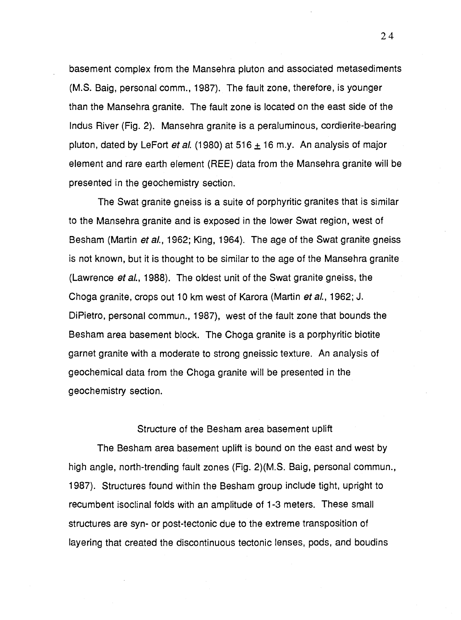basement complex from the Mansehra pluton and associated metasediments (M.S. Baig, personal comm., 1987). The fault zone, therefore, is younger than the Mansehra granite. The fault zone is located on the east side of the Indus River (Fig. 2). Mansehra granite is a peraluminous, cordierite-bearing pluton, dated by LeFort *et al.* (1980) at 516  $\pm$  16 m.y. An analysis of major element and rare earth element (REE) data from the Mansehra granite will be presented in the geochemistry section.

The Swat granite gneiss is a suite of porphyritic granites that is similar to the Mansehra granite and is exposed in the lower Swat region, west of Besham (Martin et al., 1962; King, 1964). The age of the Swat granite gneiss is not known, but it is thought to be similar to the age of the Mansehra granite (Lawrence et al., 1988). The oldest unit of the Swat granite gneiss, the Choga granite, crops out 10 km west of Karora (Martin et al., 1962; J. DiPietro, personal commun., 1987), west of the fault zone that bounds the Besham area basement block. The Choga granite is a porphyritic biotite garnet granite with a moderate to strong gneissic texture. An analysis of geochemical data from the Choga granite will be presented in the geochemistry section.

#### Structure of the Besham area basement uplift

The Besham area basement uplift is bound on the east and west by high angle, north-trending fault zones (Fig. 2)(M.S. Baig, personal commun., 1987). Structures found within the Besham group include tight, upright to recumbent isoclinal folds with an amplitude of 1-3 meters. These small structures are syn- or post-tectonic due to the extreme transposition of layering that created the discontinuous tectonic lenses, pods, and boudins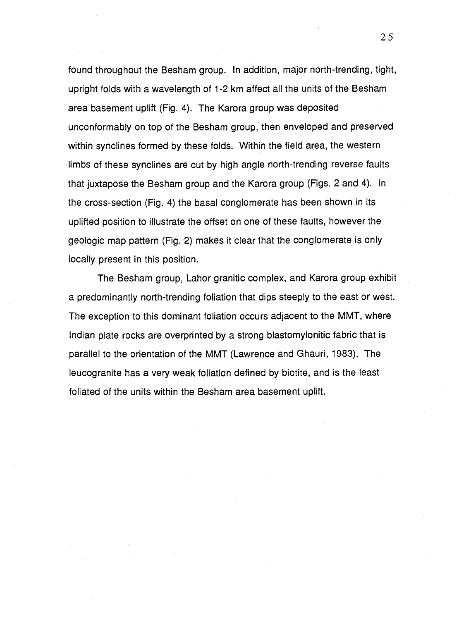found throughout the Besham group. In addition, major north-trending, tight, upright folds with a wavelength of 1-2 km affect all the units of the Besham area basement uplift (Fig. 4). The Karora group was deposited unconformably on top of the Besham group, then enveloped and preserved within synclines formed by these folds. Within the field area, the western limbs of these synclines are cut by high angle north-trending reverse faults that juxtapose the Besham group and the Karora group (Figs. 2 and 4). In the cross-section (Fig. 4) the basal conglomerate has been shown in its uplifted position to illustrate the offset on one of these faults, however the geologic map pattern (Fig. 2) makes it clear that the conglomerate is only locally present in this position.

The Besham group, Lahor granitic complex, and Karora group exhibit a predominantly north-trending foliation that dips steeply to the east or west. The exception to this dominant foliation occurs adjacent to the MMT, where Indian plate rocks are overprinted by a strong blastomylonitic fabric that is parallel to the orientation of the MMT (Lawrence and Ghauri, 1983). The leucogranite has a very weak foliation defined by biotite, and is the least foliated of the units within the Besham area basement uplift.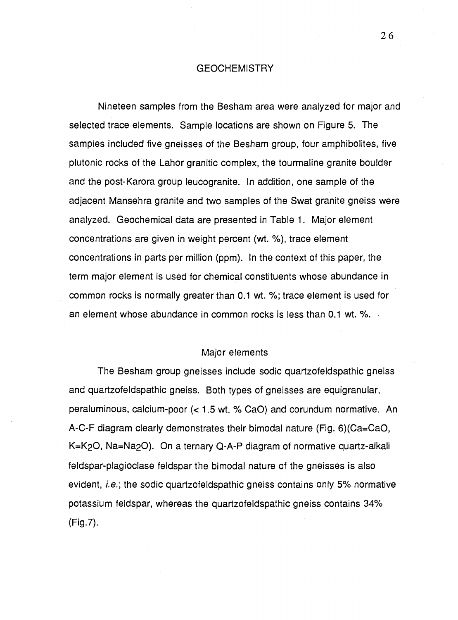#### **GEOCHEMISTRY**

Nineteen samples from the Besham area were analyzed for major and selected trace elements. Sample locations are shown on Figure 5. The samples included five gneisses of the Besham group, four amphibolites, five plutonic rocks of the Lahor granitic complex, the tourmaline granite boulder and the post-Karora group leucogranite. In addition, one sample of the adjacent Mansehra granite and two samples of the Swat granite gneiss were analyzed. Geochemical data are presented in Table 1. Major element concentrations are given in weight percent (wt. %), trace element concentrations in parts per million (ppm). In the context of this paper, the term major element is used for chemical constituents whose abundance in common rocks is normally greater than 0.1 wt. %; trace element is used for an element whose abundance in common rocks is less than 0.1 wt. %.

#### Major elements

The Besham group gneisses include sodic quartzofeldspathic gneiss and quartzofeldspathic gneiss. Both types of gneisses are equigranular, peraluminous, calcium-poor (< 1.5 wt. % CaO) and corundum normative. An A-C-F diagram clearly demonstrates their bimodal nature (Fig. 6)(Ca=CaO, K=K20, Na=Na20). On a ternary Q-A-P diagram of normative quartz-alkali feldspar-plagioclase feldspar the bimodal nature of the gneisses is also evident, *i.e.*; the sodic quartzofeldspathic gneiss contains only 5% normative potassium feldspar, whereas the quartzofeldspathic gneiss contains 34% (Fig.7).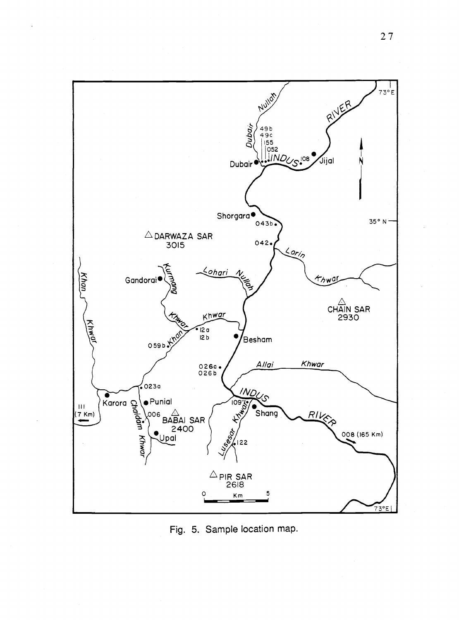

l,

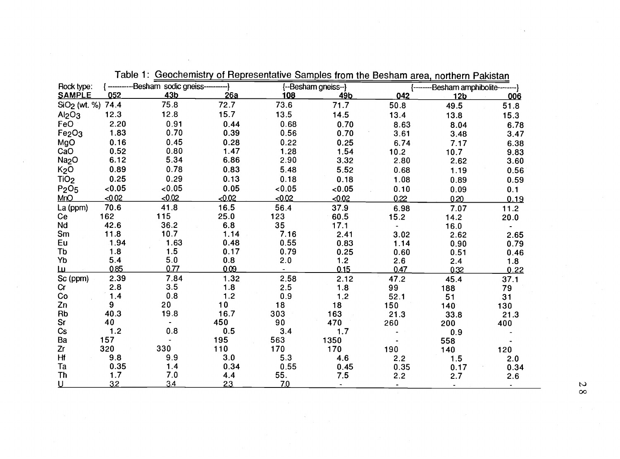| Rock type:                     |        | {------------Besham sodic gneiss--- |        |        | {--Besham gneiss--} |      | --------Besham amphibolite--------} |      |
|--------------------------------|--------|-------------------------------------|--------|--------|---------------------|------|-------------------------------------|------|
| <b>SAMPLE</b>                  | 052    | 43 <sub>b</sub>                     | 26a    | 108    | 49b                 | 042  | 12 <sub>b</sub>                     | 006  |
| SiO <sub>2</sub> (wt. %) 74.4  |        | 75.8                                | 72.7   | 73.6   | 71.7                | 50.8 | 49.5                                | 51.8 |
| Al <sub>2</sub> O <sub>3</sub> | 12.3   | 12.8                                | 15.7   | 13.5   | 14.5                | 13.4 | 13.8                                | 15.3 |
| FeO                            | 2.20   | 0.91                                | 0.44   | 0.68   | 0.70                | 8.63 | 8.04                                | 6.78 |
| Fe <sub>2</sub> O <sub>3</sub> | 1.83   | 0.70                                | 0.39   | 0.56   | 0.70                | 3.61 | 3.48                                | 3.47 |
| MgO                            | 0.16   | 0.45                                | 0.28   | 0.22   | 0.25                | 6.74 | 7.17                                | 6.38 |
| CaO                            | 0.52   | 0.80                                | 1.47   | 1.28   | 1.54                | 10.2 | 10.7                                | 9.83 |
| Na <sub>2</sub> O              | 6.12   | 5.34                                | 6.86   | 2.90   | 3.32                | 2.80 | 2.62                                | 3.60 |
| K <sub>2</sub> O               | 0.89   | 0.78                                | 0.83   | 5.48   | 5.52                | 0.68 | 1.19                                | 0.56 |
| TiO <sub>2</sub>               | 0.25   | 0.29                                | 0.13   | 0.18   | 0.18                | 1.08 | 0.89                                | 0.59 |
| P <sub>2</sub> O <sub>5</sub>  | 0.05   | 0.05                                | 0.05   | < 0.05 | < 0.05              | 0.10 | 0.09                                | 0.1  |
| <b>MnO</b>                     | < 0.02 | $-0.02$                             | < 0.02 | < 0.02 | < 0.02              | 0.22 | 0.20                                | 0.19 |
| La (ppm)                       | 70.6   | 41.8                                | 16.5   | 56.4   | 37.9                | 6.98 | 7.07                                | 11.2 |
| Ce                             | 162    | 115                                 | 25.0   | 123    | 60.5                | 15.2 | 14.2                                | 20.0 |
| Nd                             | 42.6   | 36.2                                | 6.8    | 35     | 17.1                |      | 16.0                                |      |
| Sm                             | 11.8   | 10.7                                | 1.14   | 7.16   | 2.41                | 3.02 | 2.62                                | 2.65 |
| Eu                             | 1.94   | 1.63                                | 0.48   | 0.55   | 0.83                | 1.14 | 0.90                                | 0.79 |
| Tb                             | 1.8    | 1.5                                 | 0.17   | 0.79   | 0.25                | 0.60 | 0.51                                | 0.46 |
| Yb                             | 5.4    | 5.0                                 | 0.8    | 2.0    | 1.2                 | 2.6  | 2.4                                 | 1.8  |
| <u>ш</u>                       | 0.85   | 0.77                                | 0.09   |        | 0.15                | 0.47 | 0.32                                | 0.22 |
| Sc (ppm)                       | 2.39   | 7.84                                | 1.32   | 2.58   | 2.12                | 47.2 | 45.4                                | 37.1 |
| Cr                             | 2.8    | 3.5                                 | 1.8    | 2.5    | 1.8                 | 99   | 188                                 | 79   |
| $\mathop{\rm Co}\nolimits$     | 1.4    | $0.8\,$                             | 1.2    | 0.9    | $1.2$               | 52.1 | 51                                  | 31   |
| Zn                             | 9      | 20                                  | 10     | 18     | 18                  | 150  | 140                                 | 130  |
| <b>Rb</b>                      | 40.3   | 19.8                                | 16.7   | 303    | 163                 | 21.3 | 33.8                                | 21.3 |
| Sr                             | 40     | $\blacksquare$                      | 450    | 90     | 470                 | 260  | 200                                 | 400  |
| $\mathsf{Cs}$                  | 1.2    | 0.8                                 | 0.5    | 3.4    | 1.7                 |      | 0.9                                 |      |
| Ba                             | 157    |                                     | 195    | 563    | 1350                |      | 558                                 |      |
| Zr                             | 320    | 330                                 | 110    | 170    | 170                 | 190  | 140                                 | 120  |
| Hf                             | 9.8    | 9.9                                 | 3.0    | 5.3    | 4.6                 | 2.2  | 1.5                                 | 2.0  |
| Ta                             | 0.35   | 1.4                                 | 0.34   | 0.55   | 0.45                | 0.35 | 0.17                                | 0.34 |
| <b>Th</b>                      | 1.7    | 7.0                                 | 4.4    | 55.    | 7.5                 | 2.2  | 2.7                                 | 2.6  |
| <u>u</u>                       | 3.2    | 3.4                                 | 23     | 7.0    |                     |      | $\bullet$ .                         |      |

Table 1: Geochemistry of Representative Samples from the Besham area, northern Pakistan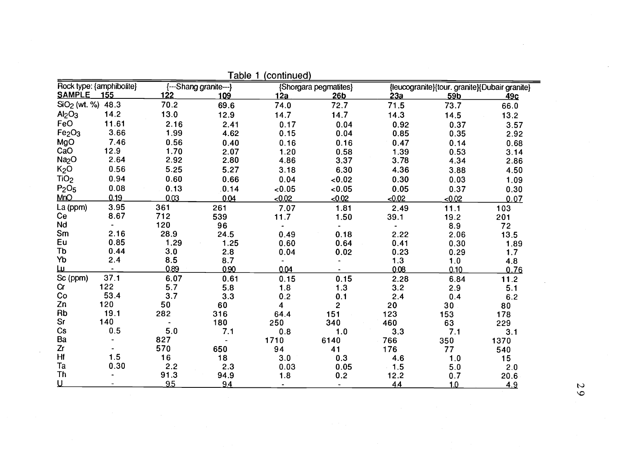| Rock type: {amphibolite}       |       | {---Shang granite---} |       | {Shorgara pegmatites} |                 | {leucogranite}{tour. granite}{Dubair granite} |                 |            |
|--------------------------------|-------|-----------------------|-------|-----------------------|-----------------|-----------------------------------------------|-----------------|------------|
| <b>SAMPLE</b>                  | 155   | 122                   | 109   | 12a                   | 26 <sub>b</sub> | 23a                                           | 59b             | <u>49c</u> |
| SiO <sub>2</sub> (wt. %) 48.3  |       | 70.2                  | 69.6  | 74.0                  | 72.7            | 71.5                                          | 73.7            | 66.0       |
| Al <sub>2</sub> O <sub>3</sub> | 14.2  | 13.0                  | 12.9  | 14.7                  | 14.7            | 14.3                                          | 14.5            | 13.2       |
| FeO                            | 11.61 | 2.16                  | 2.41  | 0.17                  | 0.04            | 0.92                                          | 0.37            | 3.57       |
| Fe <sub>2</sub> O <sub>3</sub> | 3.66  | 1.99                  | 4.62  | 0.15                  | 0.04            | 0.85                                          | 0.35            | 2.92       |
| MgO                            | 7.46  | 0.56                  | 0.40  | 0.16                  | 0.16            | 0.47                                          | 0.14            | 0.68       |
| CaO                            | 12.9  | 1.70                  | 2.07  | 1.20                  | 0.58            | 1.39                                          | 0.53            | 3.14       |
| Na <sub>2</sub> O              | 2.64  | 2.92                  | 2.80  | 4.86                  | 3.37            | 3.78                                          | 4.34            | 2.86       |
| K <sub>2</sub> O               | 0.56  | 5.25                  | 5.27  | 3.18                  | 6.30            | 4.36                                          | 3.88            | 4.50       |
| TiO <sub>2</sub>               | 0.94  | 0.60                  | 0.66  | 0.04                  | < 0.02          | 0.30                                          | 0.03            | 1.09       |
| P <sub>2</sub> O <sub>5</sub>  | 0.08  | 0.13                  | .0.14 | 0.05                  | <0.05           | 0.05                                          | 0.37            | 0.30       |
| <b>MnO</b>                     | 0.19  | 0.03                  | 0.04  | < 0.02                | < 0.02          | < 0.02                                        | <0.02           | 0.07       |
| La (ppm)                       | 3.95  | 361                   | 261   | 7.07                  | 1.81            | 2.49                                          | 11.1            | 103        |
| Ce                             | 8.67  | 712                   | 539   | 11.7                  | 1.50            | 39.1                                          | 19.2            | 201        |
| Nd                             |       | 120                   | 96    | $\frac{1}{2}$         |                 |                                               | 8.9             | 72         |
| Sm                             | 2.16  | 28.9                  | 24.5  | 0.49                  | 0.18            | 2.22                                          | 2.06            | 13.5       |
| Eu                             | 0.85  | 1.29                  | 1.25  | 0.60                  | 0.64            | 0.41                                          | 0.30            | 1.89       |
| Tb                             | 0.44  | 3.0                   | 2.8   | 0.04                  | 0.02            | 0.23                                          | 0.29            | 1.7        |
| Yb                             | 2.4   | 8.5                   | 8.7   |                       |                 | 1.3                                           | 1.0             | 4.8        |
| <u>ш</u>                       |       | 0.89                  | 0.90  | 0.04                  |                 | 0.08                                          | 0.10            | 0.76       |
| Sc (ppm)                       | 37.1  | 6.07                  | 0.61  | 0.15                  | 0.15            | 2.28                                          | 6.84            | 11.2       |
| Cr                             | 122   | 5.7                   | 5.8   | 1.8                   | 1.3             | 3.2                                           | 2.9             | 5.1        |
| Co                             | 53.4  | 3.7                   | 3.3   | 0.2                   | 0.1             | 2.4                                           | 0.4             | 6.2        |
| Zn                             | 120   | 50                    | 60    | $\overline{4}$        | $\overline{2}$  | 20                                            | 30 <sub>o</sub> | 80         |
| Rb                             | 19.1  | 282                   | 316   | 64.4                  | 151             | 123                                           | 153             | 178        |
| Sr                             | 140   |                       | 180   | 250                   | 340             | 460                                           | 63              | 229        |
| Cs                             | 0.5   | 5.0                   | 7.1   | 0.8                   | 1.0             | 3.3                                           | 7.1             | 3.1        |
| Ba                             |       | 827                   |       | 1710                  | 6140            | 766                                           | 350             | 1370       |
| Zr                             |       | 570                   | 650   | 94                    | 41              | 176                                           | 77              | 540        |
| Hf                             | 1.5   | 16                    | 18    | 3.0                   | 0.3             | 4.6                                           | 1.0             | 15         |
| Ta                             | 0.30  | 2.2                   | 2.3   | 0.03                  | 0.05            | $-1.5$                                        | 5.0             | 2.0        |
| Th                             |       | 91.3                  | 94.9  | 1.8                   | 0.2             | 12.2                                          | 0.7             | 20.6       |
| <u>ប</u>                       |       | 9.5                   | 9.4   |                       |                 | 4.4                                           | 1.0             | 4.9        |

Table 1 (continued)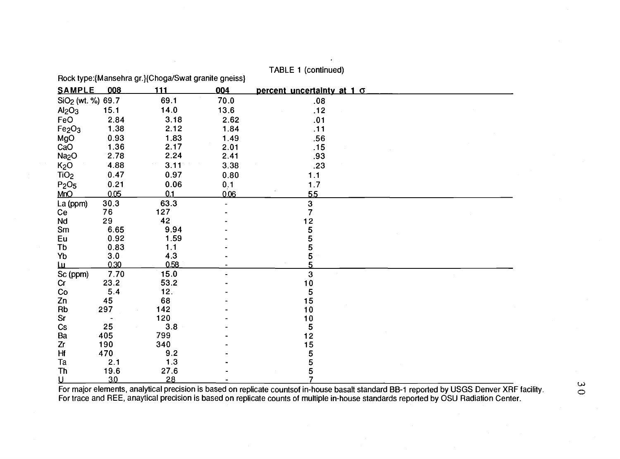|                                |      | Rock type: {Mansehra gr.} {Choga/Swat granite gneiss} |                |                            |  |
|--------------------------------|------|-------------------------------------------------------|----------------|----------------------------|--|
| <b>SAMPLE</b>                  | 008  | 111                                                   | 004            | percent uncertainty at 1 o |  |
| SiO <sub>2</sub> (wt. %) 69.7  |      | 69.1                                                  | 70.0           | .08                        |  |
| Al <sub>2</sub> O <sub>3</sub> | 15.1 | 14.0                                                  | 13.6           | .12                        |  |
| FeO                            | 2.84 | 3.18                                                  | 2.62           | .01                        |  |
| Fe <sub>2</sub> O <sub>3</sub> | 1.38 | 2.12                                                  | 1.84           | .11                        |  |
| MgO                            | 0.93 | 1.83                                                  | 1.49           | .56                        |  |
| CaO                            | 1.36 | 2.17                                                  | 2.01           | .15                        |  |
| Na <sub>2</sub> O              | 2.78 | 2.24                                                  | 2.41           | .93                        |  |
| K <sub>2</sub> O               | 4.88 | 3.11                                                  | 3.38           | .23                        |  |
| TiO <sub>2</sub>               | 0.47 | 0.97                                                  | 0.80           | 1.1                        |  |
| P <sub>2</sub> O <sub>5</sub>  | 0.21 | 0.06                                                  | 0.1            | 1.7                        |  |
| MnQ                            | 0.05 | Q.1                                                   | 0.06           | 5.5                        |  |
| La (ppm)                       | 30.3 | 63.3                                                  | $\overline{a}$ | $\frac{3}{7}$              |  |
| Ce                             | 76   | 127                                                   |                |                            |  |
| Nd                             | 29   | 42                                                    |                | 12                         |  |
| Sm                             | 6.65 | 9.94                                                  |                | 5                          |  |
| Eu                             | 0.92 | 1.59                                                  |                | 5                          |  |
| Tb                             | 0.83 | 1.1                                                   |                | 5                          |  |
| Yb                             | 3.0  | 4.3                                                   |                | 5                          |  |
| <u>ш</u>                       | 0.30 | 0.58                                                  |                | 5                          |  |
| Sc (ppm)                       | 7.70 | 15.0                                                  |                | $\mathbf{3}$               |  |
| Cr                             | 23.2 | 53.2                                                  |                | 10                         |  |
| Co                             | 5.4  | 12.                                                   |                | 5                          |  |
| Zn                             | 45   | 68                                                    |                | 15                         |  |
| Rb                             | 297  | 142                                                   |                | 10                         |  |
| Sr                             |      | 120                                                   |                | 10                         |  |
| Cs                             | 25   | 3.8                                                   |                | 5                          |  |
| Ba                             | 405  | 799                                                   |                | 12                         |  |
| Zr                             | 190  | 340                                                   |                | 15                         |  |
| Hf                             | 470  | 9.2                                                   |                | 5                          |  |
| Ta                             | 2.1  | 1.3                                                   |                | 5                          |  |
| Th                             | 19.6 | 27.6                                                  |                | 5<br>$\overline{7}$        |  |
| <u>ប</u>                       | 3.0  | 28                                                    |                |                            |  |

TABLE 1 (continued)

For major elements, analytical precision is based on replicate countsof in-house basalt standard BB-1 reported by USGS Denver XRF facility. For trace and REE, anaytical precision is based on replicate counts of multiple in-house standards reported by OSU Radiation Center.

 $\mathbf{\omega}$  $\circ$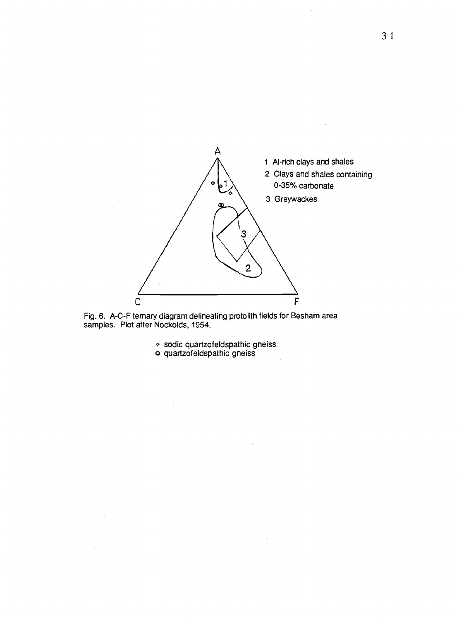

Fig. 6. A-C-F ternary diagram delineating protolith fields for Besham area samples. Plot after Nockolds, 1954.

 $\diamond$  sodic quartzofeldspathic gneiss o quartzofeldspathic gneiss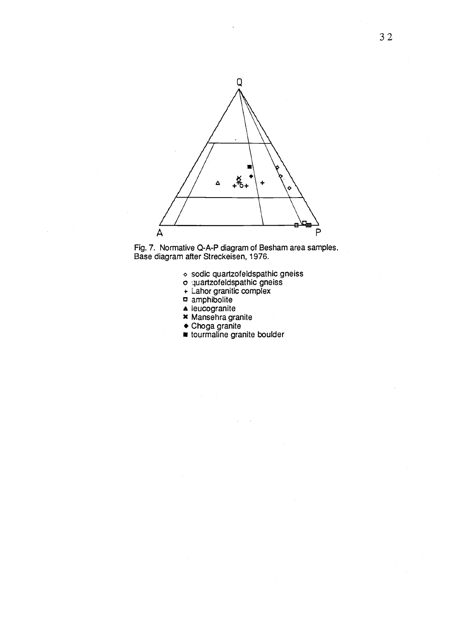

Fig. 7. Normative Q-A-P diagram of Besham area samples. Base diagram after Streckeisen, 1976.

- o sodic quartzofeldspathic gneiss
- o quartzofeldspathic gneiss
- + Lahor granitic complex
- amphibolite
- leucogranite
- x Mansehra granite
- Choga granite
- tourmaline granite boulder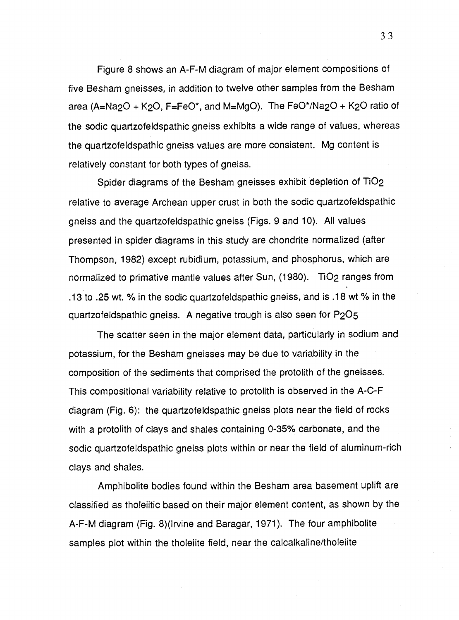Figure 8 shows an A-F-M diagram of major element compositions of five Besham gneisses, in addition to twelve other samples from the Besham area (A=Na<sub>2</sub>O + K<sub>2</sub>O, F=FeO\*, and M=MgO). The FeO\*/Na<sub>2</sub>O + K<sub>2</sub>O ratio of the sodic quartzofeldspathic gneiss exhibits a wide range of values, whereas the quartzofeldspathic gneiss values are more consistent. Mg content is relatively constant for both types of gneiss.

Spider diagrams of the Besham gneisses exhibit depletion of TiO2 relative to average Archean upper crust in both the sodic quartzofeldspathic gneiss and the quartzofeldspathic gneiss (Figs. 9 and 10). All values presented in spider diagrams in this study are chondrite normalized (after Thompson, 1982) except rubidium, potassium, and phosphorus, which are normalized to primative mantle values after Sun, (1980). TiO2 ranges from .13 to .25 wt.  $%$  in the sodic quartzofeldspathic gneiss, and is .18 wt  $%$  in the quartzofeldspathic gneiss. A negative trough is also seen for P2O5

The scatter seen in the major element data, particularly in sodium and potassium, for the Besham gneisses may be due to variability in the composition of the sediments that comprised the protolith of the gneisses. This compositional variability relative to protolith is observed in the A-C-F diagram (Fig. 6): the quartzofeldspathic gneiss plots near the field of rocks with a protolith of clays and shales containing 0-35% carbonate, and the sodic quartzofeldspathic gneiss plots within or near the field of aluminum-rich clays and shales.

Amphibolite bodies found within the Besham area basement uplift are classified as tholeiitic based on their major element content, as shown by the A-F-M diagram (Fig. 8)(Irvine and Baragar, 1971). The four amphibolite samples plot within the tholeiite field, near the calcalkaline/tholeiite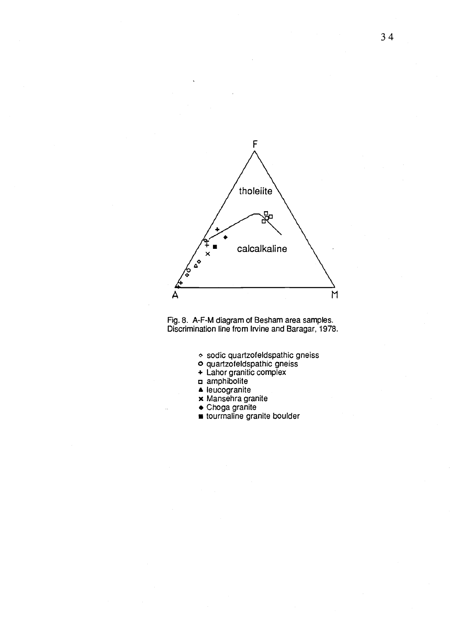

Fig. 8. A-F-M diagram of Besham area samples. Discrimination line from Irvine and Baragar, 1978.

- sodic quartzofeldspathic gneiss
- o quartzofeldspathic gneiss
- + Lahor granitic complex
- a amphibolite
- A leucogranite
- x Mansehra granite
- Choga granite
- tourmaline granite boulder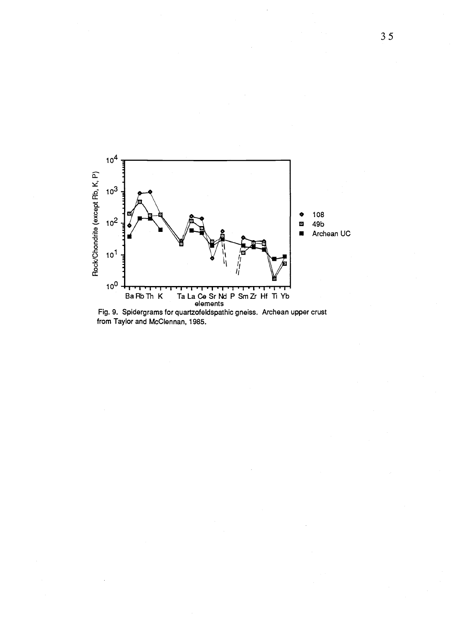

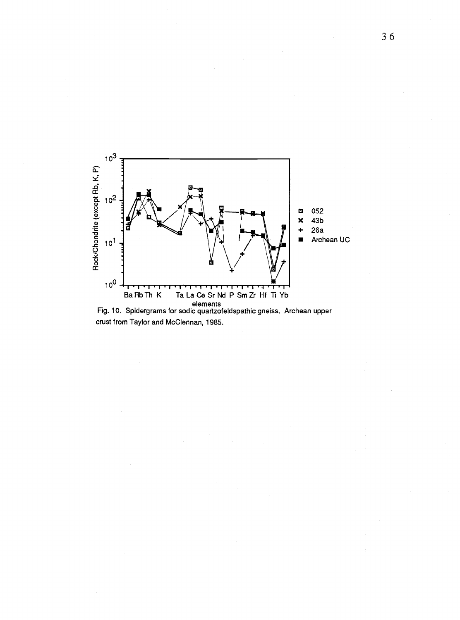

Fig. 10. Spidergrams for sodic quartzofeldspathic gneiss. Archean upper crust from Taylor and McClennan, 1985.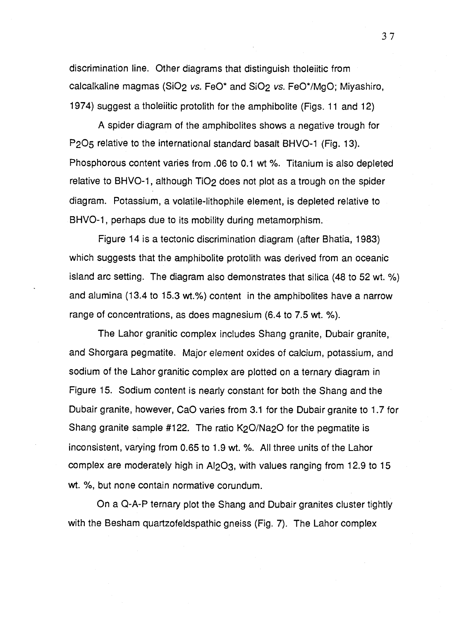discrimination line. Other diagrams that distinguish tholeiitic from calcalkaline magmas (SiO<sub>2</sub> vs. FeO\* and SiO<sub>2</sub> vs. FeO\*/MgO; Miyashiro, 1974) suggest a tholeiitic protolith for the amphibolite (Figs. 11 and 12)

A spider diagram of the amphibolites shows a negative trough for P2O5 relative to the international standard basalt BHVO-1 (Fig. 13). Phosphorous content varies from .06 to 0.1 wt %. Titanium is also depleted relative to BHVO-1, although TiO<sub>2</sub> does not plot as a trough on the spider diagram. Potassium, a volatile-lithophile element, is depleted relative to BHVO-1, perhaps due to its mobility during metamorphism.

Figure 14 is a tectonic discrimination diagram (after Bhatia, 1983) which suggests that the amphibolite protolith was derived from an oceanic island arc setting. The diagram also demonstrates that silica (48 to 52 wt. %) and alumina (13.4 to 15.3 wt.%) content in the amphibolites have a narrow range of concentrations, as does magnesium (6.4 to 7.5 wt. %).

The Lahor granitic complex includes Shang granite, Dubair granite, and Shorgara pegmatite. Major element oxides of calcium, potassium, and sodium of the Lahor granitic complex are plotted on a ternary diagram in Figure 15. Sodium content is nearly constant for both the Shang and the Dubair granite, however, CaO varies from 3.1 for the Dubair granite to 1.7 for Shang granite sample #122. The ratio K<sub>2</sub>O/Na<sub>2</sub>O for the pegmatite is inconsistent, varying from 0.65 to 1.9 wt. %. All three units of the Lahor complex are moderately high in A1203, with values ranging from 12.9 to 15 wt. %, but none contain normative corundum.

On a Q-A-P ternary plot the Shang and Dubair granites cluster tightly with the Besham quartzofeldspathic gneiss (Fig. 7). The Lahor complex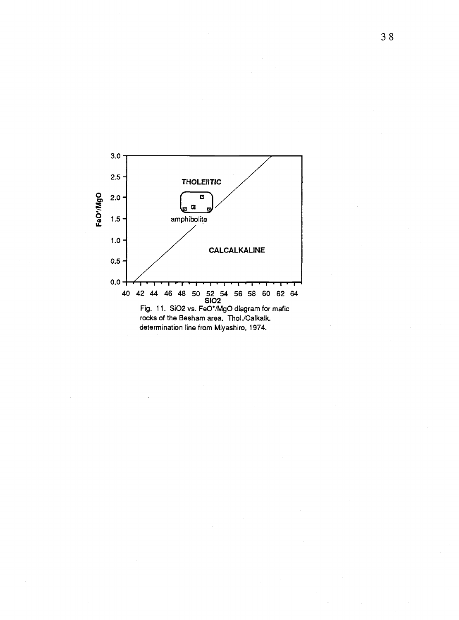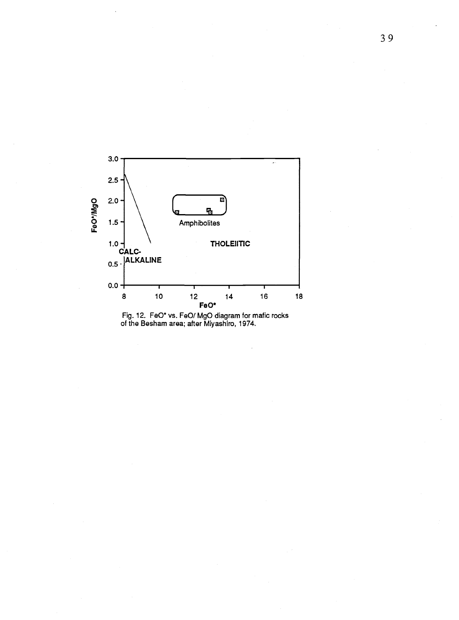

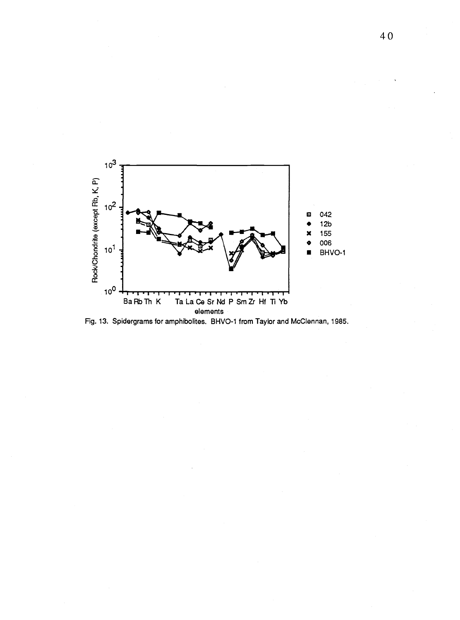

Fig. 13. Spidergrams for amphibolites. BHVO-1 from Taylor and McClennan, 1985.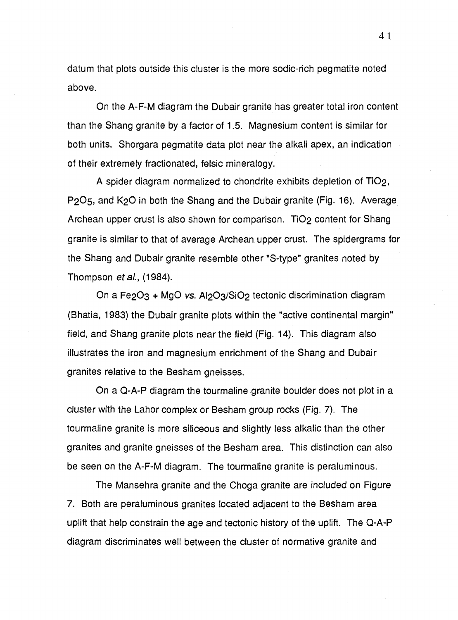datum that plots outside this cluster is the more sodic-rich pegmatite noted above.

On the A-F-M diagram the Dubair granite has greater total iron content than the Shang granite by a factor of 1.5. Magnesium content is similar for both units. Shorgara pegmatite data plot near the alkali apex, an indication of their extremely fractionated, felsic mineralogy.

A spider diagram normalized to chondrite exhibits depletion of Ti02, P205, and K2O in both the Shang and the Dubair granite (Fig. 16). Average Archean upper crust is also shown for comparison. TiO<sub>2</sub> content for Shang granite is similar to that of average Archean upper crust. The spidergrams for the Shang and Dubair granite resemble other "S-type" granites noted by Thompson et al., (1984).

On a Fe2O3 + MgO vs. Al2O3/SiO2 tectonic discrimination diagram (Bhatia, 1983) the Dubair granite plots within the "active continental margin" field, and Shang granite plots near the field (Fig. 14). This diagram also illustrates the iron and magnesium enrichment of the Shang and Dubair granites relative to the Besham gneisses.

On a Q-A-P diagram the tourmaline granite boulder does not plot in a cluster with the Lahor complex or Besham group rocks (Fig. 7). The tourmaline granite is more siliceous and slightly less alkalic than the other granites and granite gneisses of the Besham area. This distinction can also be seen on the A-F-M diagram. The tourmaline granite is peraluminous.

The Mansehra granite and the Choga granite are included on Figure 7. Both are peraluminous granites located adjacent to the Besham area uplift that help constrain the age and tectonic history of the uplift. The Q-A-P diagram discriminates well between the cluster of normative granite and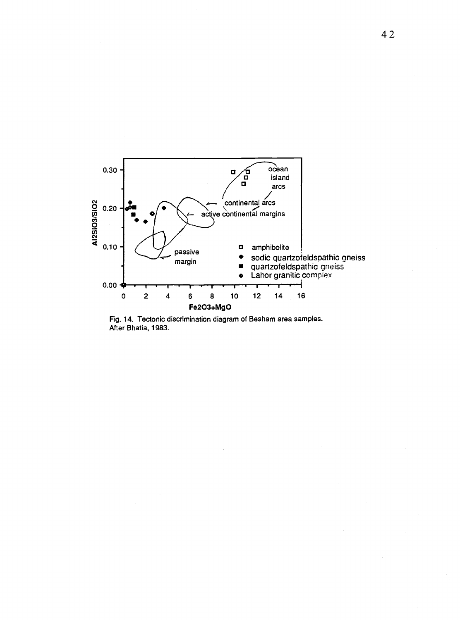

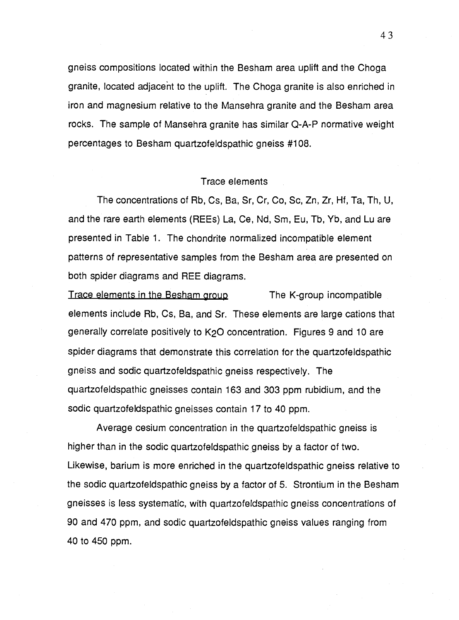gneiss compositions located within the Besham area uplift and the Choga granite, located adjacent to the uplift. The Choga granite is also enriched in iron and magnesium relative to the Mansehra granite and the Besham area rocks. The sample of Mansehra granite has similar Q-A-P normative weight percentages to Besham quartzofeldspathic gneiss #108.

## Trace elements

The concentrations of Rb, Cs, Ba, Sr, Cr, Co, Sc, Zn, Zr, Hf, Ta, Th, U, and the rare earth elements (REEs) La, Ce, Nd, Sm, Eu, Tb, Yb, and Lu are presented in Table 1. The chondrite normalized incompatible element patterns of representative samples from the Besham area are presented on both spider diagrams and REE diagrams.

Trace elements in the Besham group The K-group incompatible elements include Rb, Cs, Ba, and Sr. These elements are large cations that generally correlate positively to K2O concentration. Figures 9 and 10 are spider diagrams that demonstrate this correlation for the quartzofeldspathic gneiss and sodic quartzofeldspathic gneiss respectively. The quartzofeldspathic gneisses contain 163 and 303 ppm rubidium, and the sodic quartzofeldspathic gneisses contain 17 to 40 ppm.

Average cesium concentration in the quartzofeldspathic gneiss is higher than in the sodic quartzofeldspathic gneiss by a factor of two. Likewise, barium is more enriched in the quartzofeldspathic gneiss relative to the sodic quartzofeldspathic gneiss by a factor of 5. Strontium in the Besham gneisses is less systematic, with quartzofeldspathic gneiss concentrations of 90 and 470 ppm, and sodic quartzofeldspathic gneiss values ranging from 40 to 450 ppm.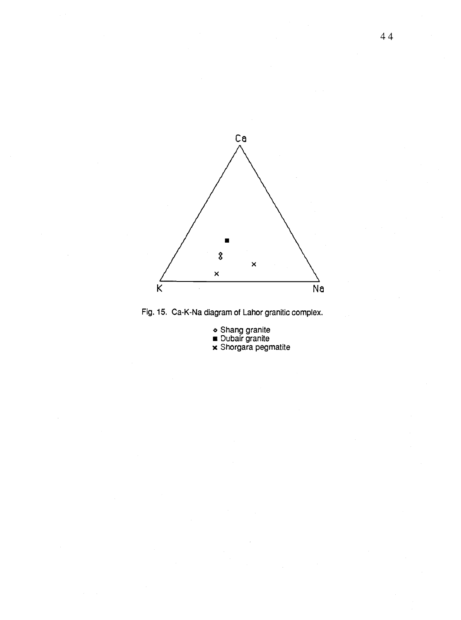



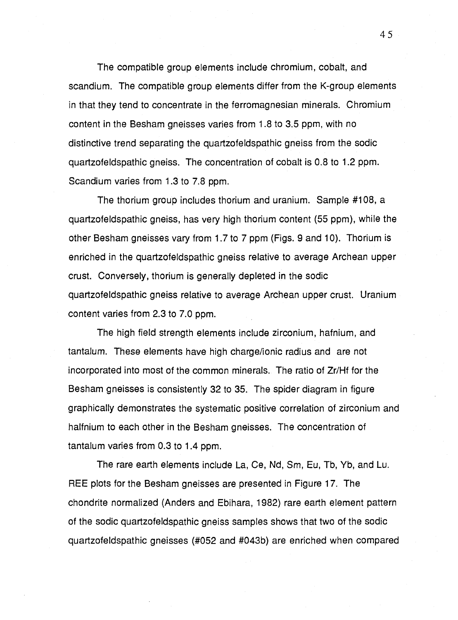The compatible group elements include chromium, cobalt, and scandium. The compatible group elements differ from the K-group elements in that they tend to concentrate in the ferromagnesian minerals. Chromium content in the Besham gneisses varies from 1.8 to 3.5 ppm, with no distinctive trend separating the quartzofeldspathic gneiss from the sodic quartzofeldspathic gneiss. The concentration of cobalt is 0.8 to 1.2 ppm. Scandium varies from 1.3 to 7.8 ppm.

The thorium group includes thorium and uranium. Sample #108, a quartzofeldspathic gneiss, has very high thorium content (55 ppm), while the other Besham gneisses vary from 1.7 to 7 ppm (Figs. 9 and 10). Thorium is enriched in the quartzofeldspathic gneiss relative to average Archean upper crust. Conversely, thorium is generally depleted in the sodic quartzofeldspathic gneiss relative to average Archean upper crust. Uranium content varies from 2.3 to 7.0 ppm.

The high field strength elements include zirconium, hafnium, and tantalum. These elements have high charge/ionic radius and are not incorporated into most of the common minerals. The ratio of Zr/Hf for the Besham gneisses is consistently 32 to 35. The spider diagram in figure graphically demonstrates the systematic positive correlation of zirconium and halfnium to each other in the Besham gneisses. The concentration of tantalum varies from 0.3 to 1.4 ppm.

The rare earth elements include La, Ce, Nd, Sm, Eu, Tb, Yb, and Lu. REE plots for the Besham gneisses are presented in Figure 17. The chondrite normalized (Anders and Ebihara, 1982) rare earth element pattern of the sodic quartzofeldspathic gneiss samples shows that two of the sodic quartzofeldspathic gneisses (#052 and #043b) are enriched when compared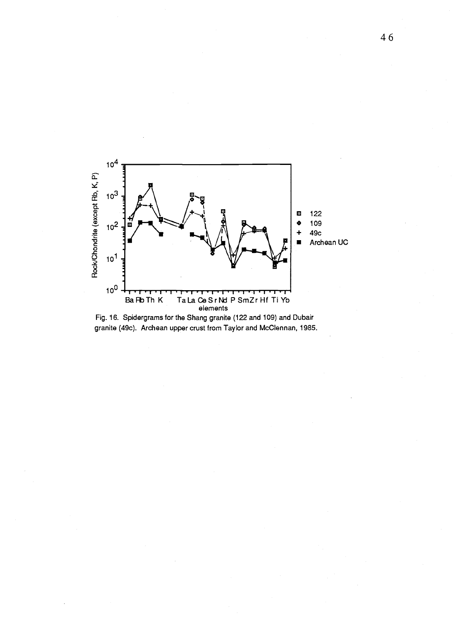

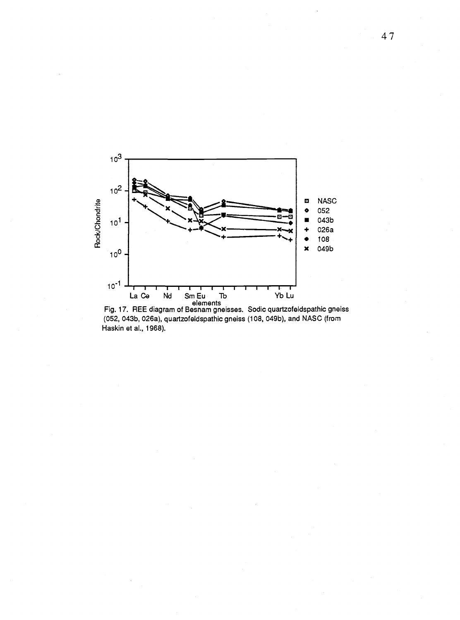

La Ce Nd Sm Eu Tb<br>Fig. 17. REE diagram of Besnam gneisses. Sodic quartzofeldspathic gneiss<br>(052, 043b, 026a), quartzofeldspathic gneiss (108, 049b), and NASC (from Haskin et al., 1968).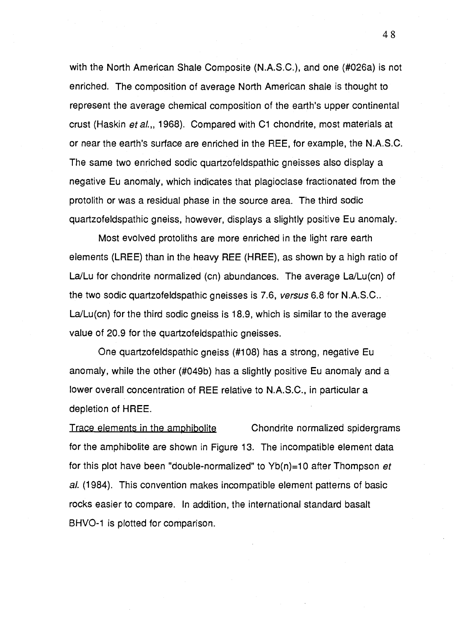with the North American Shale Composite (N.A.S.C.), and one (#026a) is not enriched. The composition of average North American shale is thought to represent the average chemical composition of the earth's upper continental crust (Haskin et al.,, 1968). Compared with C1 chondrite, most materials at or near the earth's surface are enriched in the REE, for example, the N.A.S.C. The same two enriched sodic quartzofeldspathic gneisses also display a negative Eu anomaly, which indicates that plagioclase fractionated from the protolith or was a residual phase in the source area. The third sodic quartzofeldspathic gneiss, however, displays a slightly positive Eu anomaly.

Most evolved protoliths are more enriched in the light rare earth elements (LREE) than in the heavy REE (HREE), as shown by a high ratio of La/Lu for chondrite normalized (cn) abundances. The average La/Lu(cn) of the two sodic quartzofeldspathic gneisses is 7.6, versus 6.8 for N.A.S.C.. La/Lu(cn) for the third sodic gneiss is 18.9, which is similar to the average value of 20.9 for the quartzofeldspathic gneisses.

One quartzofeldspathic gneiss (#108) has a strong, negative Eu anomaly, while the other (#049b) has a slightly positive Eu anomaly and a lower overall concentration of REE relative to N.A.S.C., in particular a depletion of HREE.

**Trace elements in the amphibolite** Chondrite normalized spidergrams for the amphibolite are shown in Figure 13. The incompatible element data for this plot have been "double-normalized" to  $Yb(n)=10$  after Thompson et al. (1984). This convention makes incompatible element patterns of basic rocks easier to compare. In addition, the international standard basalt BHVO-1 is plotted for comparison.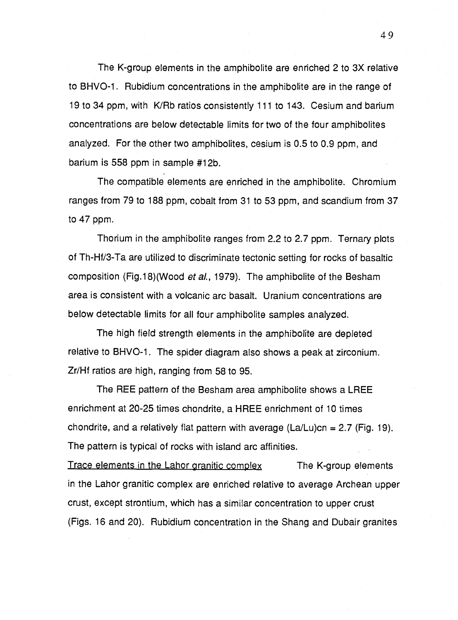The K-group elements in the amphibolite are enriched 2 to 3X relative to BHVO-1. Rubidium concentrations in the amphibolite are in the range of 19 to 34 ppm, with K/Rb ratios consistently 111 to 143. Cesium and barium concentrations are below detectable limits for two of the four amphibolites analyzed. For the other two amphibolites, cesium is 0.5 to 0.9 ppm, and barium is 558 ppm in sample #12b.

The compatible elements are enriched in the amphibolite. Chromium ranges from 79 to 188 ppm, cobalt from 31 to 53 ppm, and scandium from 37 to 47 ppm.

Thorium in the amphibolite ranges from 2.2 to 2.7 ppm. Ternary plots of Th-Hf/3-Ta are utilized to discriminate tectonic setting for rocks of basaltic composition (Fig.18)(Wood et al., 1979). The amphibolite of the Besham area is consistent with a volcanic arc basalt. Uranium concentrations are below detectable limits for all four amphibolite samples analyzed.

The high field strength elements in the amphibolite are depleted relative to BHVO-1. The spider diagram also shows a peak at zirconium. Zr/Hf ratios are high, ranging from 58 to 95.

The REE pattern of the Besham area amphibolite shows a LREE enrichment at 20-25 times chondrite, a HREE enrichment of 10 times chondrite, and a relatively flat pattern with average  $(La/Lu)cn = 2.7$  (Fig. 19). The pattern is typical of rocks with island arc affinities.

Trace elements in the Lahor granitic complex The K-group elements in the Lahor granitic complex are enriched relative to average Archean upper crust, except strontium, which has a similar concentration to upper crust (Figs. 16 and 20). Rubidium concentration in the Shang and Dubair granites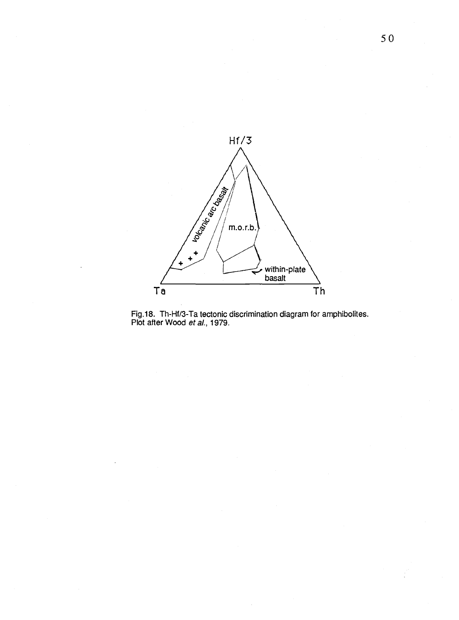

Fig.18. Th-Hf/3-Ta tectonic discrimination diagram for amphibolites. Plot after Wood *et al*., 1979.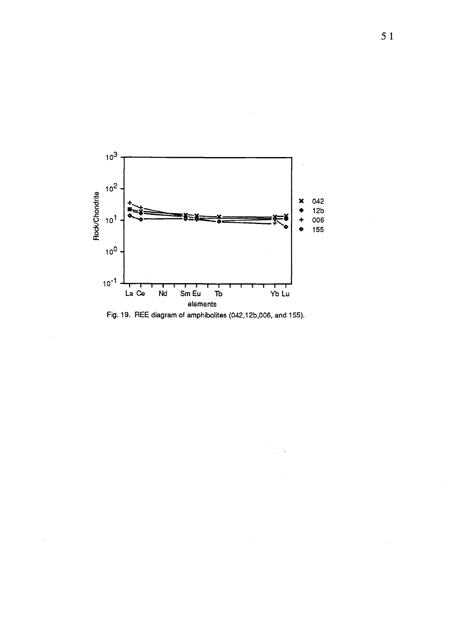

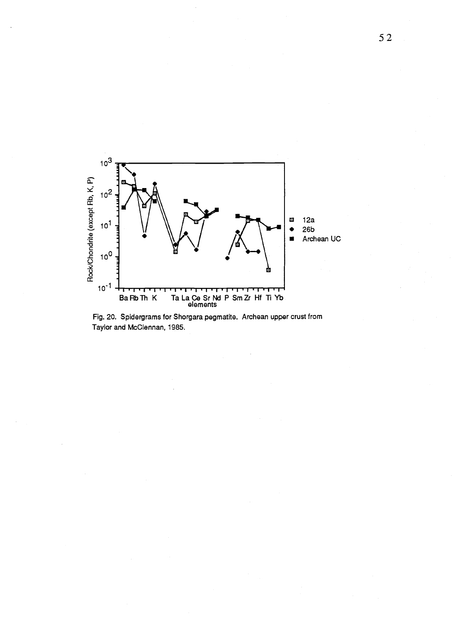

Fig. 20. Spidergrams for Shorgara pegmatite. Archean upper crust from Taylor and McClennan, 1985.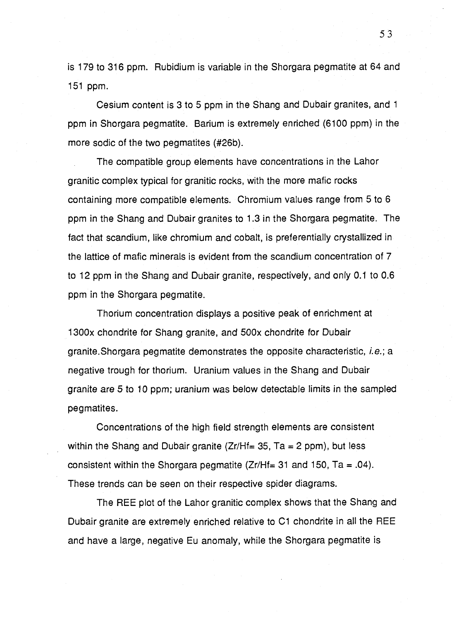is 179 to 316 ppm. Rubidium is variable in the Shorgara pegmatite at 64 and 151 ppm.

Cesium content is 3 to 5 ppm in the Shang and Dubair granites, and 1 ppm in Shorgara pegmatite. Barium is extremely enriched (6100 ppm) in the more sodic of the two pegmatites (#26b).

The compatible group elements have concentrations in the Lahor granitic complex typical for granitic rocks, with the more mafic rocks containing more compatible elements. Chromium values range from 5 to 6 ppm in the Shang and Dubair granites to 1.3 in the Shorgara pegmatite. The fact that scandium, like chromium and cobalt, is preferentially crystallized in the lattice of mafic minerals is evident from the scandium concentration of 7 to 12 ppm in the Shang and Dubair granite, respectively, and only 0.1 to 0.6 ppm in the Shorgara pegmatite.

Thorium concentration displays a positive peak of enrichment at 1300x chondrite for Shang granite, and 500x chondrite for Dubair granite. Shorgara pegmatite demonstrates the opposite characteristic, i.e.; a negative trough for thorium. Uranium values in the Shang and Dubair granite are 5 to 10 ppm; uranium was below detectable limits in the sampled pegmatites.

Concentrations of the high field strength elements are consistent within the Shang and Dubair granite ( $Zr/Hf= 35$ , Ta = 2 ppm), but less consistent within the Shorgara pegmatite  $(Zr/Hf= 31$  and 150, Ta = .04). These trends can be seen on their respective spider diagrams.

The REE plot of the Lahor granitic complex shows that the Shang and Dubair granite are extremely enriched relative to C1 chondrite in all the REE and have a large, negative Eu anomaly, while the Shorgara pegmatite is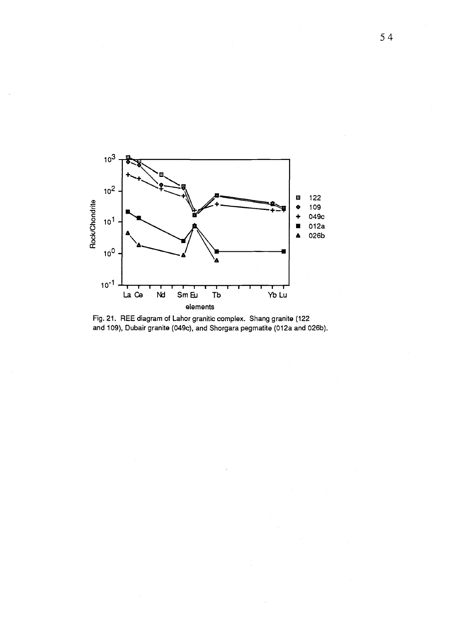

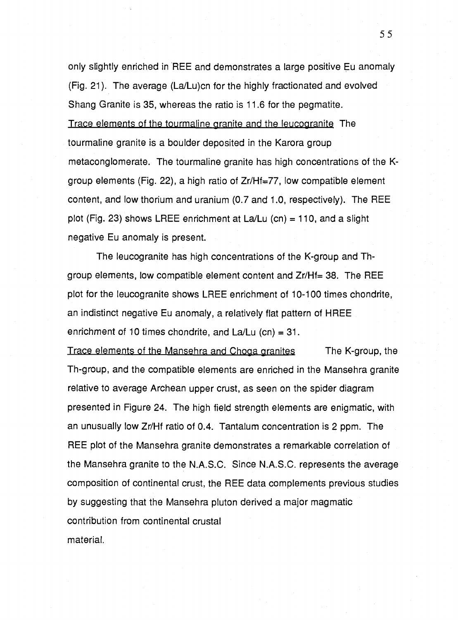only slightly enriched in REE and demonstrates a large positive Eu anomaly (Fig. 21). The average (La/Lu)cn for the highly fractionated and evolved Shang Granite is 35, whereas the ratio is 11.6 for the pegmatite. Trace elements of the tourmaline granite and the leucogranite The tourmaline granite is a boulder deposited in the Karora group metaconglomerate. The tourmaline granite has high concentrations of the Kgroup elements (Fig. 22), a high ratio of Zr/Hf=77, low compatible element content, and low thorium and uranium (0.7 and 1.0, respectively). The REE plot (Fig. 23) shows LREE enrichment at La/Lu (cn) = 110, and a slight negative Eu anomaly is present.

The leucogranite has high concentrations of the K-group and Thgroup elements, low compatible element content and Zr/Hf= 38. The REE plot for the leucogranite shows LREE enrichment of 10-100 times chondrite, an indistinct negative Eu anomaly, a relatively flat pattern of HREE enrichment of 10 times chondrite, and  $La/Lu$  (cn) = 31.

Trace elements of the Mansehra and Choga granites The K-group, the Th-group, and the compatible elements are enriched in the Mansehra granite relative to average Archean upper crust, as seen on the spider diagram presented in Figure 24. The high field strength elements are enigmatic, with an unusually low Zr/Hf ratio of 0.4. Tantalum concentration is 2 ppm. The REE plot of the Mansehra granite demonstrates a remarkable correlation of the Mansehra granite to the N.A.S.C. Since N.A.S.C. represents the average composition of continental crust, the REE data complements previous studies by suggesting that the Mansehra pluton derived a major magmatic contribution from continental crustal material.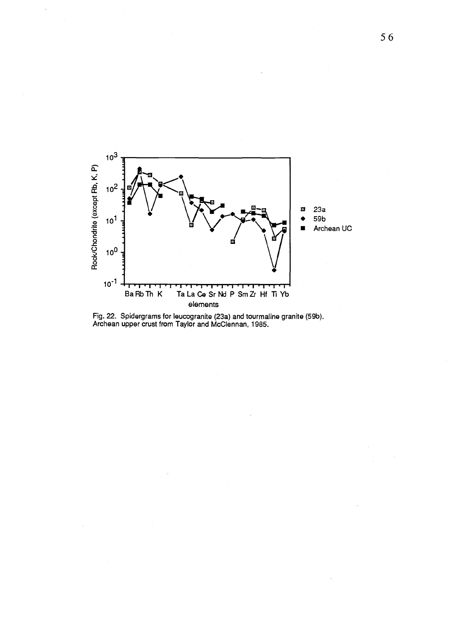

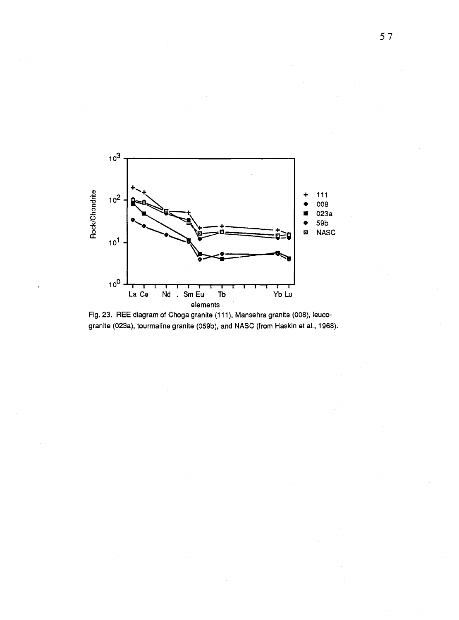

Fig. 23. REE diagram of Choga granite (111), Mansehra granite (008), leucogranite (023a), tourmaline granite (059b), and NASC (from Haskin et al., 1968).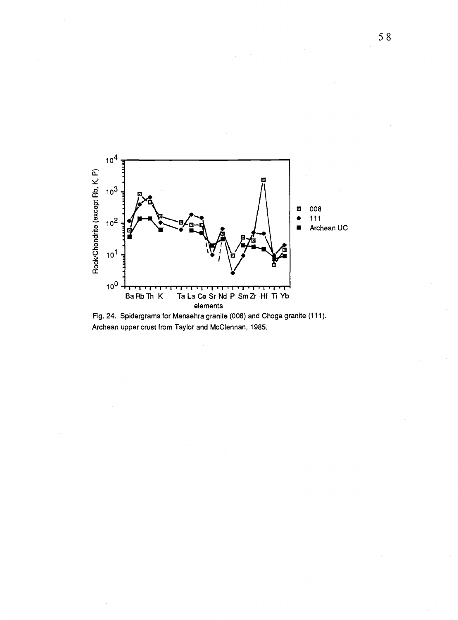

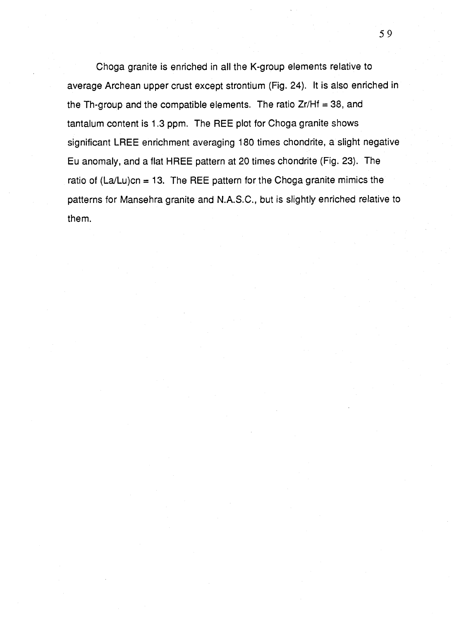Choga granite is enriched in all the K-group elements relative to average Archean upper crust except strontium (Fig. 24). It is also enriched in the Th-group and the compatible elements. The ratio  $Zr/Hf = 38$ , and tantalum content is 1.3 ppm. The REE plot for Choga granite shows significant LREE enrichment averaging 180 times chondrite, a slight negative Eu anomaly, and a flat HREE pattern at 20 times chondrite (Fig. 23). The ratio of  $(La/Lu)cn = 13$ . The REE pattern for the Choga granite mimics the patterns for Mansehra granite and N.A.S.C., but is slightly enriched relative to them.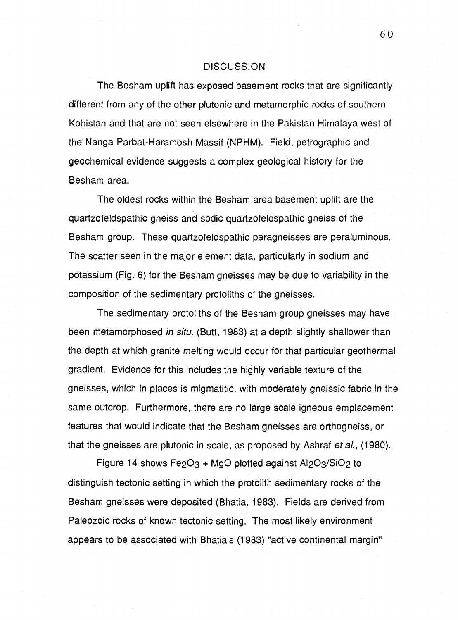## DISCUSSION

The Besham uplift has exposed basement rocks that are significantly different from any of the other plutonic and metamorphic rocks of southern Kohistan and that are not seen elsewhere in the Pakistan Himalaya west of the Nanga Parbat-Haramosh Massif (NPHM). Field, petrographic and geochemical evidence suggests a complex geological history for the Besham area.

The oldest rocks within the Besham area basement uplift are the quartzofeldspathic gneiss and sodic quartzofeldspathic gneiss of the Besham group. These quartzofeldspathic paragneisses are peraluminous. The scatter seen in the major element data, particularly in sodium and potassium (Fig. 6) for the Besham gneisses may be due to variability in the composition of the sedimentary protoliths of the gneisses.

The sedimentary protoliths of the Besham group gneisses may have been metamorphosed in situ. (Butt, 1983) at a depth slightly shallower than the depth at which granite melting would occur for that particular geothermal gradient. Evidence for this includes the highly variable texture of the gneisses, which in places is migmatitic, with moderately gneissic fabric in the same outcrop. Furthermore, there are no large scale igneous emplacement features that would indicate that the Besham gneisses are orthogneiss, or that the gneisses are plutonic in scale, as proposed by Ashraf et al., (1980).

Figure 14 shows Fe $2O<sub>3</sub>$  + MgO plotted against Al $2O<sub>3</sub>/SiO<sub>2</sub>$  to distinguish tectonic setting in which the protolith sedimentary rocks of the Besham gneisses were deposited (Bhatia, 1983). Fields are derived from Paleozoic rocks of known tectonic setting. The most likely environment appears to be associated with Bhatia's (1983) "active continental margin"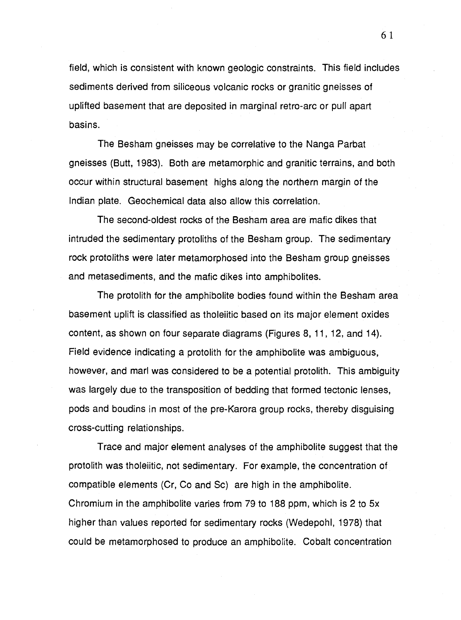field, which is consistent with known geologic constraints. This field includes sediments derived from siliceous volcanic rocks or granitic gneisses of uplifted basement that are deposited in marginal retro-arc or pull apart basins.

The Besham gneisses may be correlative to the Nanga Parbat gneisses (Butt, 1983). Both are metamorphic and granitic terrains, and both occur within structural basement highs along the northern margin of the Indian plate. Geochemical data also allow this correlation.

The second-oldest rocks of the Besham area are mafic dikes that intruded the sedimentary protoliths of the Besham group. The sedimentary rock protoliths were later metamorphosed into the Besham group gneisses and metasediments, and the mafic dikes into amphibolites.

The protolith for the amphibolite bodies found within the Besham area basement uplift is classified as tholeiitic based on its major element oxides content, as shown on four separate diagrams (Figures 8, 11, 12, and 14). Field evidence indicating a protolith for the amphibolite was ambiguous, however, and marl was considered to be a potential protolith. This ambiguity was largely due to the transposition of bedding that formed tectonic lenses, pods and boudins in most of the pre-Karora group rocks, thereby disguising cross-cutting relationships.

Trace and major element analyses of the amphibolite suggest that the protolith was tholeiitic, not sedimentary. For example, the concentration of compatible elements (Cr, Co and Sc) are high in the amphibolite. Chromium in the amphibolite varies from 79 to 188 ppm, which is 2 to 5x higher than values reported for sedimentary rocks (Wedepohl, 1978) that could be metamorphosed to produce an amphibolite. Cobalt concentration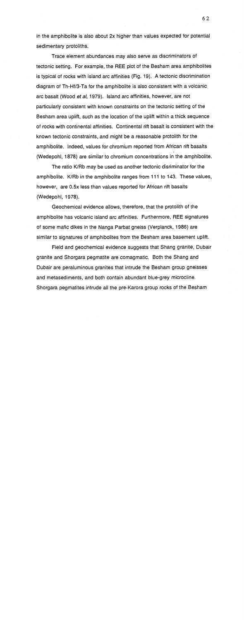in the amphibolite is also about 2x higher than values expected for potential sedimentary protoliths.

Trace element abundances may also serve as discriminators of tectonic setting. For example, the REE plot of the Besham area amphibolites is typical of rocks with island arc affinities (Fig. 19). A tectonic discrimination diagram of Th-Hf/3-Ta for the amphibolite is also consistent with a volcanic arc basalt (Wood et al, 1979). Island arc affinities, however, are not particularly consistent with known constraints on the tectonic setting of the Besham area uplift, such as the location of the uplift within a thick sequence of rocks with continental affinities. Continental rift basalt is consistent with the known tectonic constraints, and might be a reasonable protolith for the amphibolite. Indeed, values for chromium reported from African rift basalts (Wedepohl, 1878) are similar to chromium concentrations in the amphibolite.

The ratio K/Rb may be used as another tectonic disriminator for the amphibolite. K/Rb in the amphibolite ranges from 111 to 143. These values, however, are 0.5x less than values reported for African rift basalts (Wedepohl, 1978).

Geochemical evidence allows, therefore, that the protolith of the amphibolite has volcanic island arc affinities. Furthermore, REE signatures of some mafic dikes in the Nanga Parbat gneiss (Verplanck, 1986) are similar to signatures of amphibolites from the Besham area basement uplift.

Field and geochemical evidence suggests that Shang granite, Dubair granite and Shorgara pegmatite are comagmatic. Both the Shang and Dubair are peraluminous granites that intrude the Besham group gneisses and metasediments, and both contain abundant blue-grey microcline. Shorgara pegmatites intrude all the pre-Karora group rocks of the Besham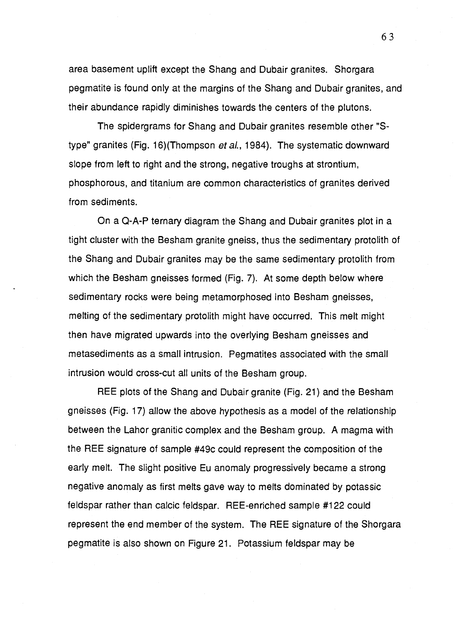area basement uplift except the Shang and Dubair granites. Shorgara pegmatite is found only at the margins of the Shang and Dubair granites, and their abundance rapidly diminishes towards the centers of the plutons.

The spidergrams for Shang and Dubair granites resemble other "Stype" granites (Fig. 16)(Thompson et al., 1984). The systematic downward slope from left to right and the strong, negative troughs at strontium, phosphorous, and titanium are common characteristics of granites derived from sediments.

On a Q-A-P ternary diagram the Shang and Dubair granites plot in a tight cluster with the Besham granite gneiss, thus the sedimentary protolith of the Shang and Dubair granites may be the same sedimentary protolith from which the Besham gneisses formed (Fig. 7). At some depth below where sedimentary rocks were being metamorphosed into Besham gneisses, melting of the sedimentary protolith might have occurred. This melt might then have migrated upwards into the overlying Besham gneisses and metasediments as a small intrusion. Pegmatites associated with the small intrusion would cross-cut all units of the Besham group.

REE plots of the Shang and Dubair granite (Fig. 21) and the Besham gneisses (Fig. 17) allow the above hypothesis as a model of the relationship between the Lahor granitic complex and the Besham group. A magma with the REE signature of sample #49c could represent the composition of the early melt. The slight positive Eu anomaly progressively became a strong negative anomaly as first melts gave way to melts dominated by potassic feldspar rather than calcic feldspar. REE-enriched sample #122 could represent the end member of the system. The REE signature of the Shorgara pegmatite is also shown on Figure 21. Potassium feldspar may be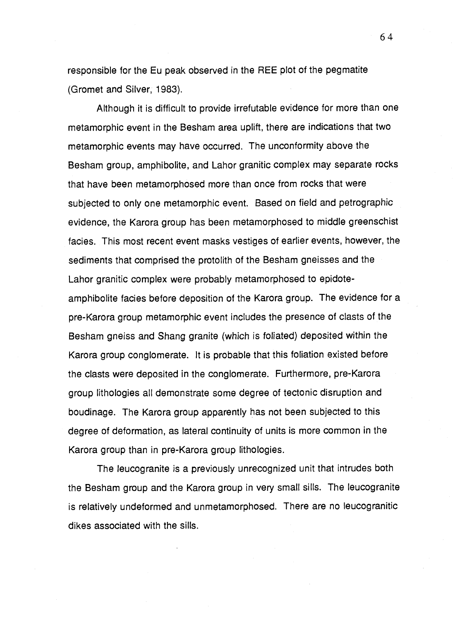responsible for the Eu peak observed in the REE plot of the pegmatite (Gromet and Silver, 1983).

Although it is difficult to provide irrefutable evidence for more than one metamorphic event in the Besham area uplift, there are indications that two metamorphic events may have occurred. The unconformity above the Besham group, amphibolite, and Lahor granitic complex may separate rocks that have been metamorphosed more than once from rocks that were subjected to only one metamorphic event. Based on field and petrographic evidence, the Karora group has been metamorphosed to middle greenschist facies. This most recent event masks vestiges of earlier events, however, the sediments that comprised the protolith of the Besham gneisses and the Lahor granitic complex were probably metamorphosed to epidoteamphibolite facies before deposition of the Karora group. The evidence for a pre-Karora group metamorphic event includes the presence of clasts of the Besham gneiss and Shang granite (which is foliated) deposited within the Karora group conglomerate. It is probable that this foliation existed before the clasts were deposited in the conglomerate. Furthermore, pre-Karora group lithologies all demonstrate some degree of tectonic disruption and boudinage. The Karora group apparently has not been subjected to this degree of deformation, as lateral continuity of units is more common in the Karora group than in pre-Karora group lithologies.

The leucogranite is a previously unrecognized unit that intrudes both the Besham group and the Karora group in very small sills. The leucogranite is relatively undeformed and unmetamorphosed. There are no leucogranitic dikes associated with the sills.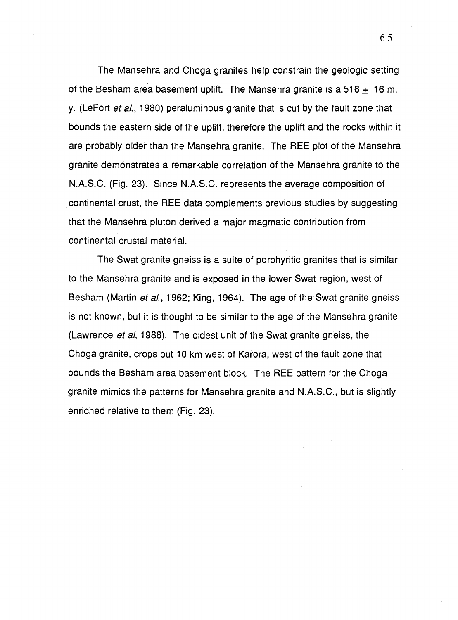The Mansehra and Choga granites help constrain the geologic setting of the Besham area basement uplift. The Mansehra granite is a 516  $\pm$  16 m. y. (Le Fort et al., 1980) peraluminous granite that is cut by the fault zone that bounds the eastern side of the uplift, therefore the uplift and the rocks within it are probably older than the Mansehra granite. The REE plot of the Mansehra granite demonstrates a remarkable correlation of the Mansehra granite to the N.A.S.C. (Fig. 23). Since N.A.S.C. represents the average composition of continental crust, the REE data complements previous studies by suggesting that the Mansehra pluton derived a major magmatic contribution from continental crustal material.

The Swat granite gneiss is a suite of porphyritic granites that is similar to the Mansehra granite and is exposed in the lower Swat region, west of Besham (Martin et al., 1962; King, 1964). The age of the Swat granite gneiss is not known, but it is thought to be similar to the age of the Mansehra granite (Lawrence *et al*, 1988). The oldest unit of the Swat granite gneiss, the Choga granite, crops out 10 km west of Karora, west of the fault zone that bounds the Besham area basement block. The REE pattern for the Choga granite mimics the patterns for Mansehra granite and N.A.S.C., but is slightly enriched relative to them (Fig. 23).

65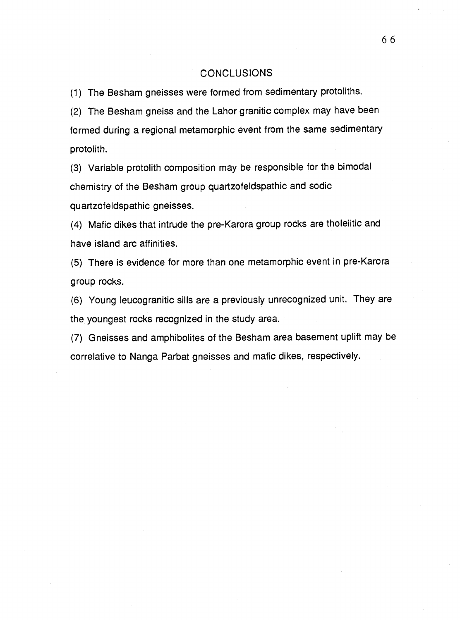## CONCLUSIONS

(1) The Besham gneisses were formed from sedimentary protoliths.

(2) The Besham gneiss and the Lahor granitic complex may have been formed during a regional metamorphic event from the same sedimentary protolith.

(3) Variable protolith composition may be responsible for the bimodal chemistry of the Besham group quartzofeldspathic and sodic quartzofeldspathic gneisses.

(4) Mafic dikes that intrude the pre-Karora group rocks are tholeiitic and have island arc affinities.

(5) There is evidence for more than one metamorphic event in pre-Karora group rocks.

(6) Young leucogranitic sills are a previously unrecognized unit. They are the youngest rocks recognized in the study area.

(7) Gneisses and amphibolites of the Besham area basement uplift may be correlative to Nanga Parbat gneisses and mafic dikes, respectively.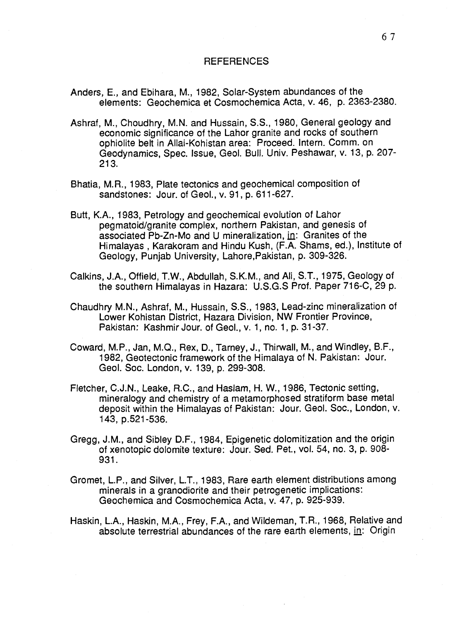## REFERENCES

- Anders, E., and Ebihara, M., 1982, Solar-System abundances of the elements: Geochemica et Cosmochemica Acta, v. 46, p. 2363-2380.
- Ashraf, M., Choudhry, M.N. and Hussain, S.S., 1980, General geology and economic significance of the Lahor granite and rocks of southern ophiolite belt in Allai-Kohistan area: Proceed. Intern. Comm. on Geodynamics, Spec. Issue, Geol. Bull. Univ. Peshawar, v. 13, p. 207- 213.
- Bhatia, M.R., 1983, Plate tectonics and geochemical composition of sandstones: Jour. of Geol., v. 91, p. 611-627.
- Butt, K.A., 1983, Petrology and geochemical evolution of Lahor pegmatoid/granite complex, northern Pakistan, and genesis of associated Pb-Zn-Mo and U mineralization, in: Granites of the Himalayas , Karakoram and Hindu Kush, (F.A. Shams, ed.), Institute of Geology, Punjab University, Lahore,Pakistan, p. 309-326.
- Calkins, J.A., Offield, T.W., Abdullah, S.K.M., and Ali, S.T., 1975, Geology of the southern Himalayas in Hazara: U.S.G.S Prof. Paper 716-C, 29 p.
- Chaudhry M.N., Ashraf, M., Hussain, S.S., 1983, Lead-zinc mineralization of Lower Kohistan District, Hazara Division, NW Frontier Province, Pakistan: Kashmir Jour. of Geol., v. 1, no. 1, p. 31-37.
- Coward, M.P., Jan, M.O., Rex, D., Tarney, J., Thirwall, M., and Windley, B.F., 1982, Geotectonic framework of the Himalaya of N. Pakistan: Jour. Geol. Soc. London, v. 139, p. 299-308.
- Fletcher, C.J.N., Leake, R.C., and Haslam, H. W., 1986, Tectonic setting, mineralogy and chemistry of a metamorphosed stratiform base metal deposit within the Himalayas of Pakistan: Jour. Geol. Soc., London, v. 143, p.521-536.
- Gregg, J.M., and Sibley D.F., 1984, Epigenetic dolomitization and the origin of xenotopic dolomite texture: Jour. Sed. Pet., vol. 54, no. 3, p. 908- 931.
- Gromet, L.P., and Silver, L.T., 1983, Rare earth element distributions among minerals in a granodiorite and their petrogenetic implications: Geochemica and Cosmochemica Acta, v. 47, p. 925-939.
- Haskin, L.A., Haskin, M.A., Frey, F.A., and Wildeman, T.R., 1968, Relative and absolute terrestrial abundances of the rare earth elements, in: Origin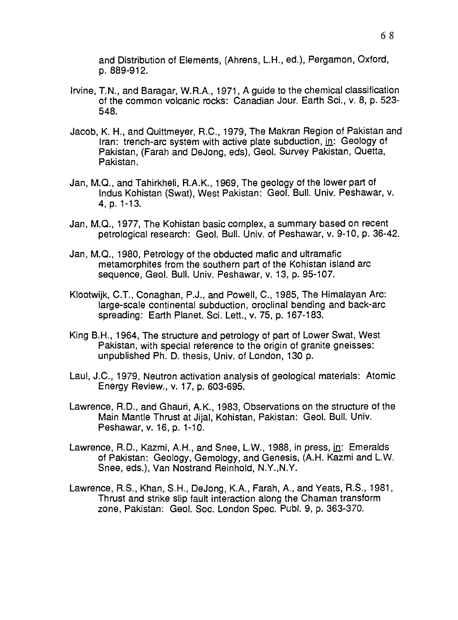and Distribution of Elements, (Ahrens, L.H., ed.), Pergamon, Oxford, p. 889-912.

- Irvine, T.N., and Baragar, W.R.A., 1971, A guide to the chemical classification of the common volcanic rocks: Canadian Jour. Earth Sci., v. 8, p. 523- 548.
- Jacob, K. H., and Quittmeyer, R.C., 1979, The Makran Region of Pakistan and Iran: trench-arc system with active plate subduction, in: Geology of Pakistan, (Farah and DeJong, eds), Geol. Survey Pakistan, Quetta, Pakistan.
- Jan, M.Q., and Tahirkheli, R.A.K., 1969, The geology of the lower part of Indus Kohistan (Swat), West Pakistan: Geol. Bull. Univ. Peshawar, v. 4, p. 1-13.
- Jan, M.Q., 1977, The Kohistan basic complex, a summary based on recent petrological research: Geol. Bull. Univ. of Peshawar, v. 9-10, p. 36-42.
- Jan, M.Q., 1980, Petrology of the obducted mafic and ultramafic metamorphites from the southern part of the Kohistan island arc sequence, Geol. Bull. Univ. Peshawar, v. 13, p. 95-107.
- Klootwijk, C.T., Conaghan, P.J., and Powell, C., 1985, The Himalayan Arc: large-scale continental subduction, oroclinal bending and back-arc spreading: Earth Planet. Sci. Lett., v. 75, p. 167-183.
- King B.H., 1964, The structure and petrology of part of Lower Swat, West Pakistan, with special reference to the origin of granite gneisses: unpublished Ph. D. thesis, Univ. of London, 130 p.
- Laul, J.C., 1979, Neutron activation analysis of geological materials: Atomic Energy Review., v. 17, p. 603-695.
- Lawrence, R.D., and Ghauri, A.K., 1983, Observations on the structure of the Main Mantle Thrust at Jijal, Kohistan, Pakistan: Geol. Bull. Univ. Peshawar, v. 16, p. 1-10.
- Lawrence, R.D., Kazmi, A.H., and Snee, L.W., 1988, in press, in: Emeralds of Pakistan: Geology, Gemology, and Genesis, (A.H. Kazmi and L.W. Snee, eds.), Van Nostrand Reinhold, N.Y.,N.Y.
- Lawrence, R.S., Khan, S.H., DeJong, K.A., Farah, A., and Yeats, R.S., 1981, Thrust and strike slip fault interaction along the Chaman transform zone, Pakistan: Geol. Soc. London Spec. Publ. 9, p. 363-370.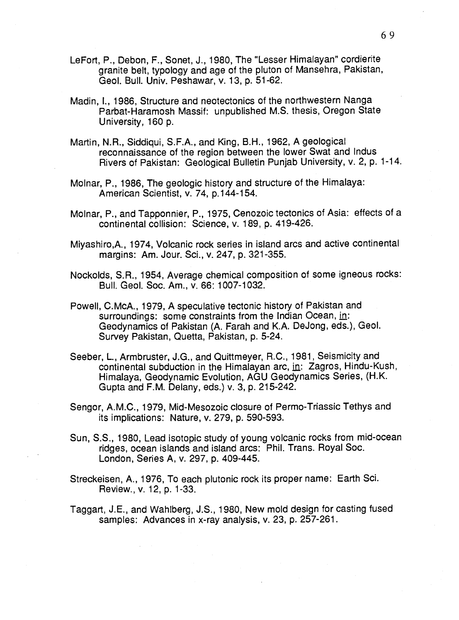- Le Fort, P., Debon, F., Sonet, J., 1980, The "Lesser Himalayan" cordierite granite belt, typology and age of the pluton of Mansehra, Pakistan, Geol. Bull. Univ. Peshawar, v. 13, p. 51-62.
- Madin, I., 1986, Structure and neotectonics of the northwestern Nanga Parbat-Haramosh Massif: unpublished M.S. thesis, Oregon State University, 160 p.
- Martin, N.R., Siddiqui, S.F.A., and King, B.H., 1962, A geological reconnaissance of the region between the lower Swat and Indus Rivers of Pakistan: Geological Bulletin Punjab University, v. 2, p. 1-14.
- Molnar, P., 1986, The geologic history and structure of the Himalaya: American Scientist, v. 74, p.144-154.
- Molnar, P., and Tapponnier, P., 1975, Cenozoic tectonics of Asia: effects of a continental collision: Science, v. 189, p. 419-426.
- Miyashiro,A., 1974, Volcanic rock series in island arcs and active continental margins: Am. Jour. Sci., v. 247, p. 321-355.
- Nockolds, S.R., 1954, Average chemical composition of some igneous rocks: Bull. Geol. Soc. Am., v. 66: 1007-1032.
- Powell, C.McA., 1979, A speculative tectonic history of Pakistan and surroundings: some constraints from the Indian Ocean, in: Geodynamics of Pakistan (A. Farah and K.A. DeJong, eds.), Geol. Survey Pakistan, Quetta, Pakistan, p. 5-24.
- Seeber, L., Armbruster, J.G., and Quittmeyer, R.C., 1981, Seismicity and continental subduction in the Himalayan arc,  $\text{in}:$  Zagros, Hindu-Kush, Himalaya, Geodynamic Evolution, AGU Geodynamics Series, (H.K. Gupta and F.M. Delany, eds.) v. 3, p. 215-242.
- Sengor, A.M.C., 1979, Mid-Mesozoic closure of Permo-Triassic Tethys and its implications: Nature, v. 279, p. 590-593.
- Sun, S.S., 1980, Lead isotopic study of young volcanic rocks from mid-ocean ridges, ocean islands and island arcs: Phil. Trans. Royal Soc. London, Series A, v. 297, p. 409-445.
- Streckeisen, A., 1976, To each plutonic rock its proper name: Earth Sci. Review., v. 12, p. 1-33.
- Taggart, J.E., and Wahlberg, J.S., 1980, New mold design for casting fused samples: Advances in x-ray analysis, v. 23, p. 257-261.